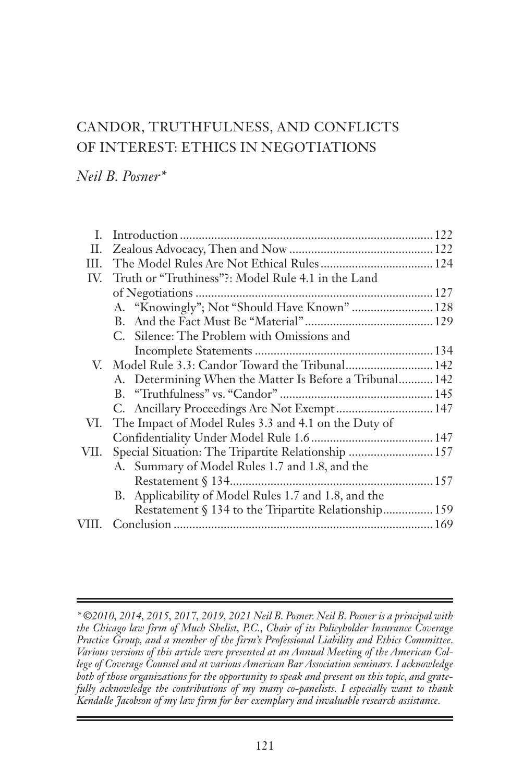# CANDOR, TRUTHFULNESS, AND CONFLICTS OF INTEREST: ETHICS IN NEGOTIATIONS

*Neil B. Posner\**

| L.   |                                                          |  |
|------|----------------------------------------------------------|--|
| П.   |                                                          |  |
| III. |                                                          |  |
| IV.  | Truth or "Truthiness"?: Model Rule 4.1 in the Land       |  |
|      |                                                          |  |
|      | A. "Knowingly"; Not "Should Have Known"  128             |  |
|      |                                                          |  |
|      | C. Silence: The Problem with Omissions and               |  |
|      |                                                          |  |
|      | V. Model Rule 3.3: Candor Toward the Tribunal 142        |  |
|      | A. Determining When the Matter Is Before a Tribunal 142  |  |
|      |                                                          |  |
|      | C. Ancillary Proceedings Are Not Exempt 147              |  |
|      | VI. The Impact of Model Rules 3.3 and 4.1 on the Duty of |  |
|      |                                                          |  |
| VII. | Special Situation: The Tripartite Relationship  157      |  |
|      | A. Summary of Model Rules 1.7 and 1.8, and the           |  |
|      |                                                          |  |
|      | B. Applicability of Model Rules 1.7 and 1.8, and the     |  |
|      | Restatement § 134 to the Tripartite Relationship 159     |  |
|      |                                                          |  |
|      |                                                          |  |

*<sup>\* ©2010, 2014, 2015, 2017, 2019, 2021</sup> Neil B. Posner. Neil B. Posner is a principal with the Chicago law firm of Much Shelist, P.C., Chair of its Policyholder Insurance Coverage Practice Group, and a member of the firm's Professional Liability and Ethics Committee. Various versions of this article were presented at an Annual Meeting of the American College of Coverage Counsel and at various American Bar Association seminars. I acknowledge both of those organizations for the opportunity to speak and present on this topic, and gratefully acknowledge the contributions of my many co-panelists. I especially want to thank Kendalle Jacobson of my law firm for her exemplary and invaluable research assistance.*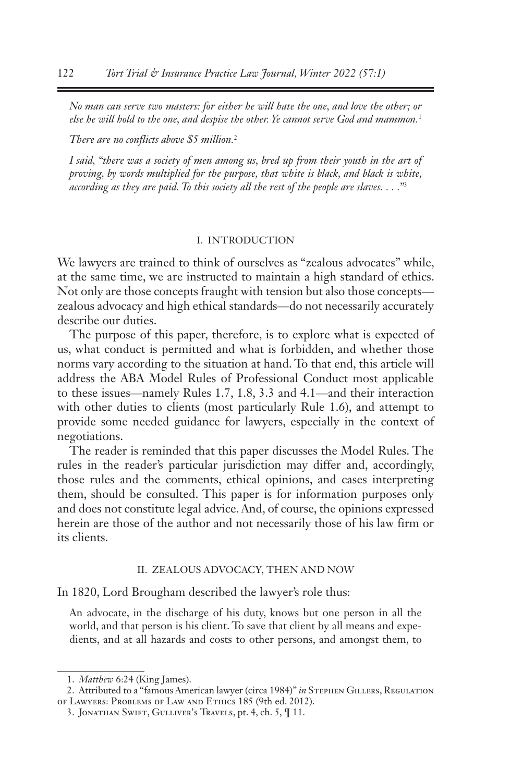*No man can serve two masters: for either he will hate the one, and love the other; or else he will hold to the one, and despise the other. Ye cannot serve God and mammon.*<sup>1</sup>

*There are no conflicts above \$5 million.*<sup>2</sup>

*I said, "there was a society of men among us, bred up from their youth in the art of proving, by words multiplied for the purpose, that white is black, and black is white, according as they are paid. To this society all the rest of the people are slaves. . . ."*<sup>3</sup>

#### I. INTRODUCTION

We lawyers are trained to think of ourselves as "zealous advocates" while, at the same time, we are instructed to maintain a high standard of ethics. Not only are those concepts fraught with tension but also those concepts zealous advocacy and high ethical standards—do not necessarily accurately describe our duties.

The purpose of this paper, therefore, is to explore what is expected of us, what conduct is permitted and what is forbidden, and whether those norms vary according to the situation at hand. To that end, this article will address the ABA Model Rules of Professional Conduct most applicable to these issues—namely Rules 1.7, 1.8, 3.3 and 4.1—and their interaction with other duties to clients (most particularly Rule 1.6), and attempt to provide some needed guidance for lawyers, especially in the context of negotiations.

The reader is reminded that this paper discusses the Model Rules. The rules in the reader's particular jurisdiction may differ and, accordingly, those rules and the comments, ethical opinions, and cases interpreting them, should be consulted. This paper is for information purposes only and does not constitute legal advice. And, of course, the opinions expressed herein are those of the author and not necessarily those of his law firm or its clients.

#### II. ZEALOUS ADVOCACY, THEN AND NOW

In 1820, Lord Brougham described the lawyer's role thus:

An advocate, in the discharge of his duty, knows but one person in all the world, and that person is his client. To save that client by all means and expedients, and at all hazards and costs to other persons, and amongst them, to

<sup>1.</sup> *Matthew* 6:24 (King James).

<sup>2.</sup> Attributed to a "famous American lawyer (circa 1984)" *in* STEPHEN GILLERS, REGULATION of Lawyers: Problems of Law and Ethics 185 (9th ed. 2012).

<sup>3.</sup> Jonathan Swift, Gulliver's Travels, pt. 4, ch. 5, ¶ 11.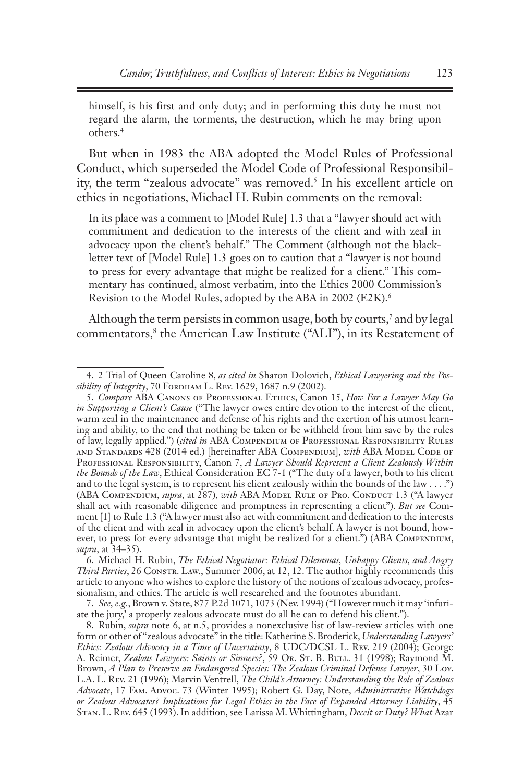himself, is his first and only duty; and in performing this duty he must not regard the alarm, the torments, the destruction, which he may bring upon others.4

But when in 1983 the ABA adopted the Model Rules of Professional Conduct, which superseded the Model Code of Professional Responsibility, the term "zealous advocate" was removed.<sup>5</sup> In his excellent article on ethics in negotiations, Michael H. Rubin comments on the removal:

In its place was a comment to [Model Rule] 1.3 that a "lawyer should act with commitment and dedication to the interests of the client and with zeal in advocacy upon the client's behalf." The Comment (although not the blackletter text of [Model Rule] 1.3 goes on to caution that a "lawyer is not bound to press for every advantage that might be realized for a client." This commentary has continued, almost verbatim, into the Ethics 2000 Commission's Revision to the Model Rules, adopted by the ABA in 2002 (E2K).<sup>6</sup>

Although the term persists in common usage, both by courts,<sup>7</sup> and by legal commentators,<sup>8</sup> the American Law Institute ("ALI"), in its Restatement of

<sup>4.</sup> 2 Trial of Queen Caroline 8, *as cited in* Sharon Dolovich, *Ethical Lawyering and the Pos*sibility of Integrity, 70 FORDHAM L. REV. 1629, 1687 n.9 (2002).

<sup>5.</sup> *Compare* ABA Canons of Professional Ethics, Canon 15, *How Far a Lawyer May Go in Supporting a Client's Cause* ("The lawyer owes entire devotion to the interest of the client, warm zeal in the maintenance and defense of his rights and the exertion of his utmost learning and ability, to the end that nothing be taken or be withheld from him save by the rules of law, legally applied.") (*cited in* ABA Compendium of Professional Responsibility Rules and Standards 428 (2014 ed.) [hereinafter ABA Compendium], *with* ABA Model Code of PROFESSIONAL RESPONSIBILITY, Canon 7, *A Lawyer Should Represent a Client Zealously Within the Bounds of the Law*, Ethical Consideration EC 7-1 ("The duty of a lawyer, both to his client and to the legal system, is to represent his client zealously within the bounds of the law  $\dots$ .") (ABA Compendium, *supra*, at 287), *with* ABA Model Rule of Pro. Conduct 1.3 ("A lawyer shall act with reasonable diligence and promptness in representing a client"). *But see* Comment [1] to Rule 1.3 ("A lawyer must also act with commitment and dedication to the interests of the client and with zeal in advocacy upon the client's behalf. A lawyer is not bound, however, to press for every advantage that might be realized for a client.") (ABA COMPENDIUM, *supra*, at 34–35).

<sup>6.</sup> Michael H. Rubin, *The Ethical Negotiator: Ethical Dilemmas, Unhappy Clients, and Angry Third Parties*, 26 Constr. Law., Summer 2006, at 12, 12. The author highly recommends this article to anyone who wishes to explore the history of the notions of zealous advocacy, professionalism, and ethics. The article is well researched and the footnotes abundant.

<sup>7.</sup> *See, e.g.*, Brown v. State, 877 P.2d 1071, 1073 (Nev. 1994) ("However much it may 'infuriate the jury,' a properly zealous advocate must do all he can to defend his client.").

<sup>8.</sup> Rubin, *supra* note 6, at n.5, provides a nonexclusive list of law-review articles with one form or other of "zealous advocate" in the title: Katherine S. Broderick, *Understanding Lawyers' Ethics: Zealous Advocacy in a Time of Uncertainty*, 8 UDC/DCSL L. Rev. 219 (2004); George A. Reimer, *Zealous Lawyers: Saints or Sinners?*, 59 Or. St. B. Bull. 31 (1998); Raymond M. Brown, *A Plan to Preserve an Endangered Species: The Zealous Criminal Defense Lawyer*, 30 Loy. L.A. L. Rev. 21 (1996); Marvin Ventrell, *The Child's Attorney: Understanding the Role of Zealous Advocate*, 17 Fam. Advoc. 73 (Winter 1995); Robert G. Day, Note, *Administrative Watchdogs or Zealous Advocates? Implications for Legal Ethics in the Face of Expanded Attorney Liability*, 45 Stan. L. Rev. 645 (1993). In addition, see Larissa M. Whittingham, *Deceit or Duty? What* Azar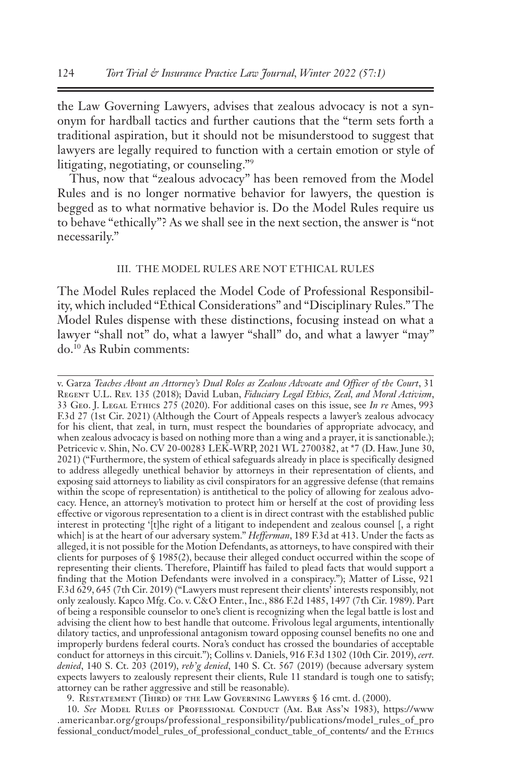the Law Governing Lawyers, advises that zealous advocacy is not a synonym for hardball tactics and further cautions that the "term sets forth a traditional aspiration, but it should not be misunderstood to suggest that lawyers are legally required to function with a certain emotion or style of litigating, negotiating, or counseling."9

Thus, now that "zealous advocacy" has been removed from the Model Rules and is no longer normative behavior for lawyers, the question is begged as to what normative behavior is. Do the Model Rules require us to behave "ethically"? As we shall see in the next section, the answer is "not necessarily."

#### III. THE MODEL RULES ARE NOT ETHICAL RULES

The Model Rules replaced the Model Code of Professional Responsibility, which included "Ethical Considerations" and "Disciplinary Rules." The Model Rules dispense with these distinctions, focusing instead on what a lawyer "shall not" do, what a lawyer "shall" do, and what a lawyer "may" do.10 As Rubin comments:

9. RESTATEMENT (THIRD) OF THE LAW GOVERNING LAWYERS § 16 cmt. d. (2000).

10. *See* Model Rules of Professional Conduct (Am. Bar Ass'n 1983), https://www .americanbar.org/groups/professional\_responsibility/publications/model\_rules\_of\_pro fessional\_conduct/model\_rules\_of\_professional\_conduct\_table\_of\_contents/ and the Ethics

v. Garza *Teaches About an Attorney's Dual Roles as Zealous Advocate and Officer of the Court*, 31 Regent U.L. Rev. 135 (2018); David Luban, *Fiduciary Legal Ethics, Zeal, and Moral Activism*, 33 GEO. J. LEGAL ETHICS 275 (2020). For additional cases on this issue, see *In re* Ames, 993 F.3d 27 (1st Cir. 2021) (Although the Court of Appeals respects a lawyer's zealous advocacy for his client, that zeal, in turn, must respect the boundaries of appropriate advocacy, and when zealous advocacy is based on nothing more than a wing and a prayer, it is sanctionable.); Petricevic v. Shin, No. CV 20-00283 LEK-WRP, 2021 WL 2700382, at \*7 (D. Haw. June 30, 2021) ("Furthermore, the system of ethical safeguards already in place is specifically designed to address allegedly unethical behavior by attorneys in their representation of clients, and exposing said attorneys to liability as civil conspirators for an aggressive defense (that remains within the scope of representation) is antithetical to the policy of allowing for zealous advocacy. Hence, an attorney's motivation to protect him or herself at the cost of providing less effective or vigorous representation to a client is in direct contrast with the established public interest in protecting '[t]he right of a litigant to independent and zealous counsel [, a right which] is at the heart of our adversary system." *Hefferman*, 189 F.3d at 413. Under the facts as alleged, it is not possible for the Motion Defendants, as attorneys, to have conspired with their clients for purposes of § 1985(2), because their alleged conduct occurred within the scope of representing their clients. Therefore, Plaintiff has failed to plead facts that would support a finding that the Motion Defendants were involved in a conspiracy."); Matter of Lisse, 921 F.3d 629, 645 (7th Cir. 2019) ("Lawyers must represent their clients' interests responsibly, not only zealously. Kapco Mfg. Co. v. C&O Enter., Inc., 886 F.2d 1485, 1497 (7th Cir. 1989). Part of being a responsible counselor to one's client is recognizing when the legal battle is lost and advising the client how to best handle that outcome. Frivolous legal arguments, intentionally dilatory tactics, and unprofessional antagonism toward opposing counsel benefits no one and improperly burdens federal courts. Nora's conduct has crossed the boundaries of acceptable conduct for attorneys in this circuit."); Collins v. Daniels, 916 F.3d 1302 (10th Cir. 2019), *cert. denied*, 140 S. Ct. 203 (2019), *reh'g denied*, 140 S. Ct. 567 (2019) (because adversary system expects lawyers to zealously represent their clients, Rule 11 standard is tough one to satisfy; attorney can be rather aggressive and still be reasonable).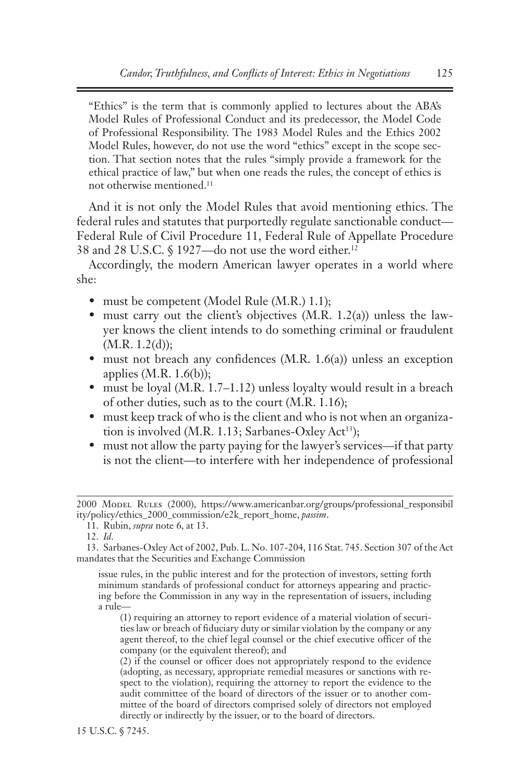"Ethics" is the term that is commonly applied to lectures about the ABA's Model Rules of Professional Conduct and its predecessor, the Model Code of Professional Responsibility. The 1983 Model Rules and the Ethics 2002 Model Rules, however, do not use the word "ethics" except in the scope section. That section notes that the rules "simply provide a framework for the ethical practice of law," but when one reads the rules, the concept of ethics is not otherwise mentioned.11

And it is not only the Model Rules that avoid mentioning ethics. The federal rules and statutes that purportedly regulate sanctionable conduct— Federal Rule of Civil Procedure 11, Federal Rule of Appellate Procedure 38 and 28 U.S.C. § 1927—do not use the word either.12

Accordingly, the modern American lawyer operates in a world where she:

- must be competent (Model Rule (M.R.) 1.1);
- must carry out the client's objectives  $(M.R. 1.2(a))$  unless the lawyer knows the client intends to do something criminal or fraudulent  $(M.R. 1.2(d));$
- must not breach any confidences (M.R. 1.6(a)) unless an exception applies (M.R. 1.6(b));
- must be loyal (M.R. 1.7–1.12) unless loyalty would result in a breach of other duties, such as to the court (M.R. 1.16);
- must keep track of who is the client and who is not when an organization is involved (M.R. 1.13; Sarbanes-Oxley  $Act^{13}$ );
- must not allow the party paying for the lawyer's services—if that party is not the client—to interfere with her independence of professional

issue rules, in the public interest and for the protection of investors, setting forth minimum standards of professional conduct for attorneys appearing and practicing before the Commission in any way in the representation of issuers, including a rule—

(1) requiring an attorney to report evidence of a material violation of securities law or breach of fiduciary duty or similar violation by the company or any agent thereof, to the chief legal counsel or the chief executive officer of the company (or the equivalent thereof); and

(2) if the counsel or officer does not appropriately respond to the evidence (adopting, as necessary, appropriate remedial measures or sanctions with respect to the violation), requiring the attorney to report the evidence to the audit committee of the board of directors of the issuer or to another committee of the board of directors comprised solely of directors not employed directly or indirectly by the issuer, or to the board of directors.

15 U.S.C. § 7245.

<sup>2000</sup> Model Rules (2000), https://www.americanbar.org/groups/professional\_responsibil ity/policy/ethics\_2000\_commission/e2k\_report\_home, *passim*.

<sup>11.</sup> Rubin, *supra* note 6, at 13.

<sup>12.</sup> *Id*.

<sup>13.</sup> Sarbanes-Oxley Act of 2002, Pub. L. No. 107-204, 116 Stat. 745. Section 307 of the Act mandates that the Securities and Exchange Commission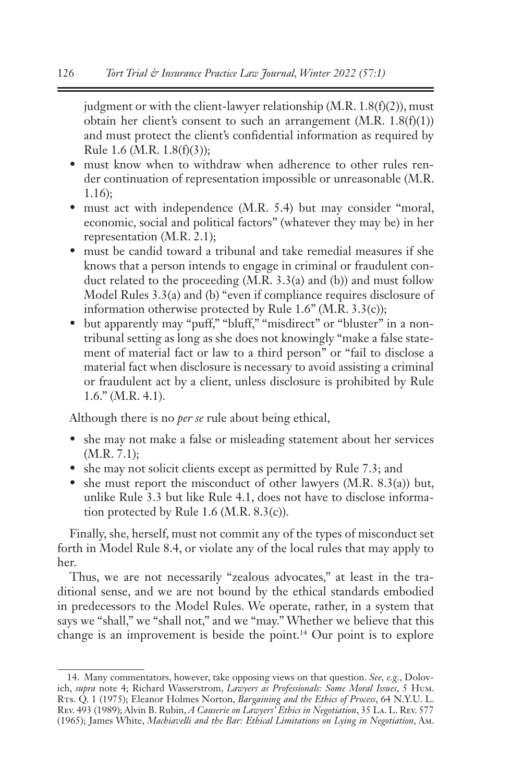judgment or with the client-lawyer relationship (M.R. 1.8(f)(2)), must obtain her client's consent to such an arrangement  $(M.R. 1.8(f)(1))$ and must protect the client's confidential information as required by Rule 1.6 (M.R. 1.8(f)(3));

- must know when to withdraw when adherence to other rules render continuation of representation impossible or unreasonable (M.R. 1.16);
- must act with independence (M.R. 5.4) but may consider "moral, economic, social and political factors" (whatever they may be) in her representation (M.R. 2.1);
- must be candid toward a tribunal and take remedial measures if she knows that a person intends to engage in criminal or fraudulent conduct related to the proceeding (M.R. 3.3(a) and (b)) and must follow Model Rules 3.3(a) and (b) "even if compliance requires disclosure of information otherwise protected by Rule 1.6" (M.R. 3.3(c));
- but apparently may "puff," "bluff," "misdirect" or "bluster" in a nontribunal setting as long as she does not knowingly "make a false statement of material fact or law to a third person" or "fail to disclose a material fact when disclosure is necessary to avoid assisting a criminal or fraudulent act by a client, unless disclosure is prohibited by Rule  $1.6." (M.R. 4.1).$

Although there is no *per se* rule about being ethical,

- she may not make a false or misleading statement about her services (M.R. 7.1);
- she may not solicit clients except as permitted by Rule 7.3; and
- she must report the misconduct of other lawyers  $(M.R. 8.3(a))$  but, unlike Rule 3.3 but like Rule 4.1, does not have to disclose information protected by Rule 1.6 (M.R. 8.3(c)).

Finally, she, herself, must not commit any of the types of misconduct set forth in Model Rule 8.4, or violate any of the local rules that may apply to her.

Thus, we are not necessarily "zealous advocates," at least in the traditional sense, and we are not bound by the ethical standards embodied in predecessors to the Model Rules. We operate, rather, in a system that says we "shall," we "shall not," and we "may." Whether we believe that this change is an improvement is beside the point.<sup>14</sup> Our point is to explore

<sup>14.</sup> Many commentators, however, take opposing views on that question. *See, e.g.*, Dolovich, *supra* note 4; Richard Wasserstrom, *Lawyers as Professionals: Some Moral Issues*, 5 Hum. Rts. Q. 1 (1975); Eleanor Holmes Norton, *Bargaining and the Ethics of Process*, 64 N.Y.U. L. Rev. 493 (1989); Alvin B. Rubin, *A Causerie on Lawyers' Ethics in Negotiation*, 35 La. L. Rev. 577 (1965); James White, *Machiavelli and the Bar: Ethical Limitations on Lying in Negotiation*, Am.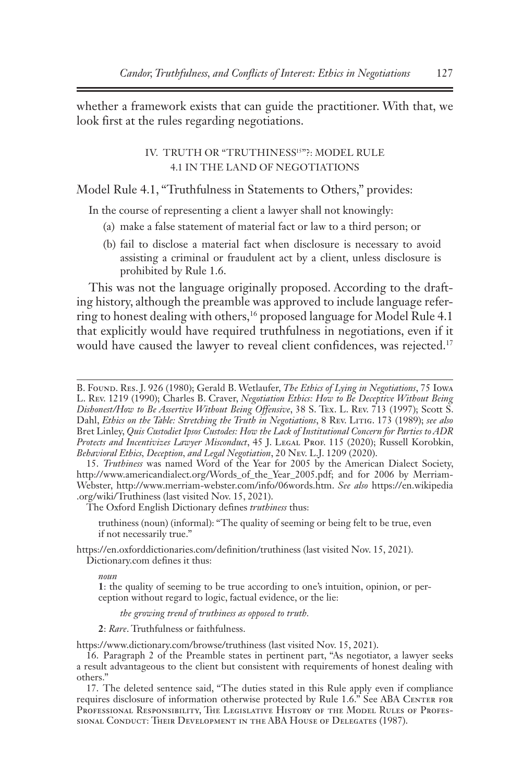whether a framework exists that can guide the practitioner. With that, we look first at the rules regarding negotiations.

> IV. TRUTH OR "TRUTHINESS<sup>15"</sup>?: MODEL RULE 4.1 IN THE LAND OF NEGOTIATIONS

Model Rule 4.1, "Truthfulness in Statements to Others," provides:

In the course of representing a client a lawyer shall not knowingly:

- (a) make a false statement of material fact or law to a third person; or
- (b) fail to disclose a material fact when disclosure is necessary to avoid assisting a criminal or fraudulent act by a client, unless disclosure is prohibited by Rule 1.6.

This was not the language originally proposed. According to the drafting history, although the preamble was approved to include language referring to honest dealing with others,<sup>16</sup> proposed language for Model Rule 4.1 that explicitly would have required truthfulness in negotiations, even if it would have caused the lawyer to reveal client confidences, was rejected.<sup>17</sup>

The Oxford English Dictionary defines *truthiness* thus:

https://en.oxforddictionaries.com/definition/truthiness (last visited Nov. 15, 2021). Dictionary.com defines it thus:

*noun*

*the growing trend of truthiness as opposed to truth.*

**2**: *Rare*. Truthfulness or faithfulness.

https://www.dictionary.com/browse/truthiness (last visited Nov. 15, 2021).

16. Paragraph 2 of the Preamble states in pertinent part, "As negotiator, a lawyer seeks a result advantageous to the client but consistent with requirements of honest dealing with others."

B. Found. Res. J. 926 (1980); Gerald B. Wetlaufer, *The Ethics of Lying in Negotiations*, 75 Iowa L. Rev. 1219 (1990); Charles B. Craver, *Negotiation Ethics: How to Be Deceptive Without Being Dishonest/How to Be Assertive Without Being Offensive*, 38 S. Tex. L. Rev. 713 (1997); Scott S. Dahl, *Ethics on the Table: Stretching the Truth in Negotiations*, 8 Rev. LITIG. 173 (1989); see also Bret Linley, *Quis Custodiet Ipsos Custodes: How the Lack of Institutional Concern for Parties to ADR*  Protects and Incentivizes Lawyer Misconduct, 45 J. LEGAL PROF. 115 (2020); Russell Korobkin, *Behavioral Ethics, Deception, and Legal Negotiation*, 20 Nev. L.J. 1209 (2020).

<sup>15.</sup> *Truthiness* was named Word of the Year for 2005 by the American Dialect Society, http://www.americandialect.org/Words\_of\_the\_Year\_2005.pdf; and for 2006 by Merriam-Webster, http://www.merriam-webster.com/info/06words.htm. *See also* https://en.wikipedia .org/wiki/Truthiness (last visited Nov. 15, 2021).

truthiness (noun) (informal): "The quality of seeming or being felt to be true, even if not necessarily true."

**<sup>1</sup>**: the quality of seeming to be true according to one's intuition, opinion, or perception without regard to logic, factual evidence, or the lie:

<sup>17.</sup> The deleted sentence said, "The duties stated in this Rule apply even if compliance requires disclosure of information otherwise protected by Rule 1.6." See ABA CENTER FOR PROFESSIONAL RESPONSIBILITY, THE LEGISLATIVE HISTORY OF THE MODEL RULES OF PROFESsional Conduct: Their Development in the ABA House of Delegates (1987).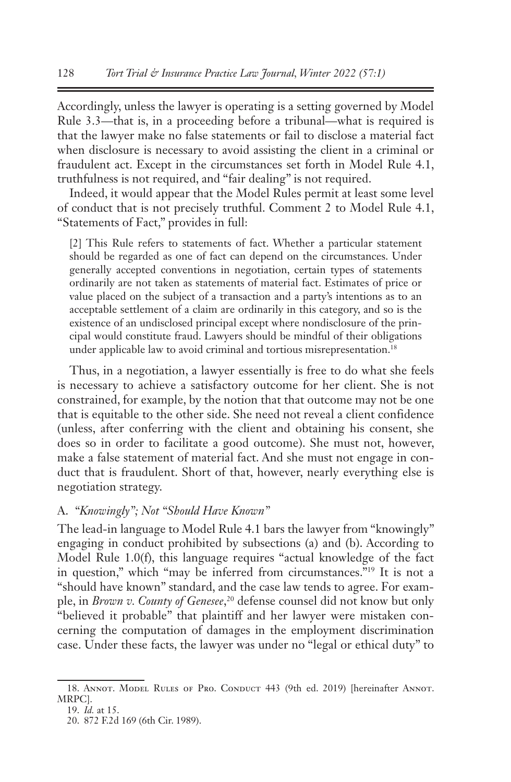Accordingly, unless the lawyer is operating is a setting governed by Model Rule 3.3—that is, in a proceeding before a tribunal—what is required is that the lawyer make no false statements or fail to disclose a material fact when disclosure is necessary to avoid assisting the client in a criminal or fraudulent act. Except in the circumstances set forth in Model Rule 4.1, truthfulness is not required, and "fair dealing" is not required.

Indeed, it would appear that the Model Rules permit at least some level of conduct that is not precisely truthful. Comment 2 to Model Rule 4.1, "Statements of Fact," provides in full:

[2] This Rule refers to statements of fact. Whether a particular statement should be regarded as one of fact can depend on the circumstances. Under generally accepted conventions in negotiation, certain types of statements ordinarily are not taken as statements of material fact. Estimates of price or value placed on the subject of a transaction and a party's intentions as to an acceptable settlement of a claim are ordinarily in this category, and so is the existence of an undisclosed principal except where nondisclosure of the principal would constitute fraud. Lawyers should be mindful of their obligations under applicable law to avoid criminal and tortious misrepresentation.<sup>18</sup>

Thus, in a negotiation, a lawyer essentially is free to do what she feels is necessary to achieve a satisfactory outcome for her client. She is not constrained, for example, by the notion that that outcome may not be one that is equitable to the other side. She need not reveal a client confidence (unless, after conferring with the client and obtaining his consent, she does so in order to facilitate a good outcome). She must not, however, make a false statement of material fact. And she must not engage in conduct that is fraudulent. Short of that, however, nearly everything else is negotiation strategy.

#### A. *"Knowingly"; Not "Should Have Known"*

The lead-in language to Model Rule 4.1 bars the lawyer from "knowingly" engaging in conduct prohibited by subsections (a) and (b). According to Model Rule 1.0(f), this language requires "actual knowledge of the fact in question," which "may be inferred from circumstances."19 It is not a "should have known" standard, and the case law tends to agree. For example, in *Brown v. County of Genesee*, <sup>20</sup> defense counsel did not know but only "believed it probable" that plaintiff and her lawyer were mistaken concerning the computation of damages in the employment discrimination case. Under these facts, the lawyer was under no "legal or ethical duty" to

<sup>18.</sup> ANNOT. MODEL RULES OF PRO. CONDUCT 443 (9th ed. 2019) [hereinafter ANNOT. MRPC].

<sup>19.</sup> *Id.* at 15.

<sup>20.</sup> 872 F.2d 169 (6th Cir. 1989).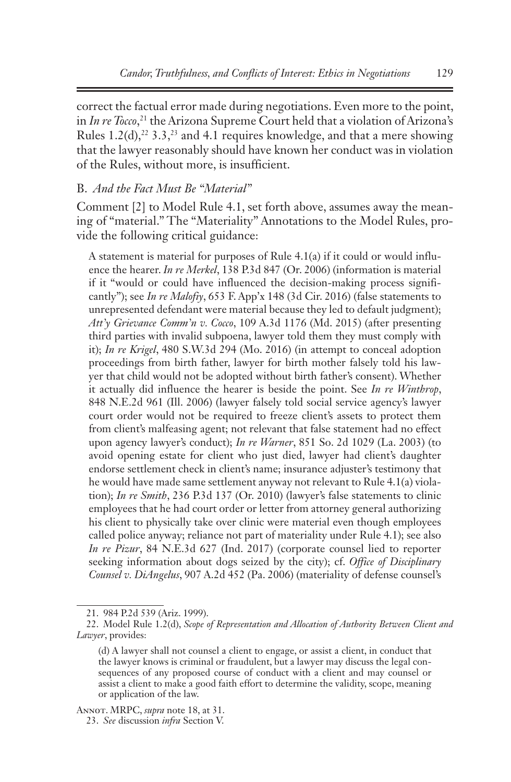correct the factual error made during negotiations. Even more to the point, in *In re Tocco*, 21 the Arizona Supreme Court held that a violation of Arizona's Rules  $1.2(d)$ ,<sup>22</sup> 3.3,<sup>23</sup> and 4.1 requires knowledge, and that a mere showing that the lawyer reasonably should have known her conduct was in violation of the Rules, without more, is insufficient.

# B. *And the Fact Must Be "Material"*

Comment [2] to Model Rule 4.1, set forth above, assumes away the meaning of "material." The "Materiality" Annotations to the Model Rules, provide the following critical guidance:

A statement is material for purposes of Rule 4.1(a) if it could or would influence the hearer. *In re Merkel*, 138 P.3d 847 (Or. 2006) (information is material if it "would or could have influenced the decision-making process significantly"); see *In re Malofiy*, 653 F. App'x 148 (3d Cir. 2016) (false statements to unrepresented defendant were material because they led to default judgment); *Att'y Grievance Comm'n v. Cocco*, 109 A.3d 1176 (Md. 2015) (after presenting third parties with invalid subpoena, lawyer told them they must comply with it); *In re Krigel*, 480 S.W.3d 294 (Mo. 2016) (in attempt to conceal adoption proceedings from birth father, lawyer for birth mother falsely told his lawyer that child would not be adopted without birth father's consent). Whether it actually did influence the hearer is beside the point. See *In re Winthrop*, 848 N.E.2d 961 (Ill. 2006) (lawyer falsely told social service agency's lawyer court order would not be required to freeze client's assets to protect them from client's malfeasing agent; not relevant that false statement had no effect upon agency lawyer's conduct); *In re Warner*, 851 So. 2d 1029 (La. 2003) (to avoid opening estate for client who just died, lawyer had client's daughter endorse settlement check in client's name; insurance adjuster's testimony that he would have made same settlement anyway not relevant to Rule 4.1(a) violation); *In re Smith*, 236 P.3d 137 (Or. 2010) (lawyer's false statements to clinic employees that he had court order or letter from attorney general authorizing his client to physically take over clinic were material even though employees called police anyway; reliance not part of materiality under Rule 4.1); see also *In re Pizur*, 84 N.E.3d 627 (Ind. 2017) (corporate counsel lied to reporter seeking information about dogs seized by the city); cf. *Office of Disciplinary Counsel v. DiAngelus*, 907 A.2d 452 (Pa. 2006) (materiality of defense counsel's

<sup>21.</sup> 984 P.2d 539 (Ariz. 1999).

<sup>22.</sup> Model Rule 1.2(d), *Scope of Representation and Allocation of Authority Between Client and Lawyer*, provides:

<sup>(</sup>d) A lawyer shall not counsel a client to engage, or assist a client, in conduct that the lawyer knows is criminal or fraudulent, but a lawyer may discuss the legal consequences of any proposed course of conduct with a client and may counsel or assist a client to make a good faith effort to determine the validity, scope, meaning or application of the law.

ANNOT. MRPC, *supra* note 18, at 31.

<sup>23.</sup> *See* discussion *infra* Section V.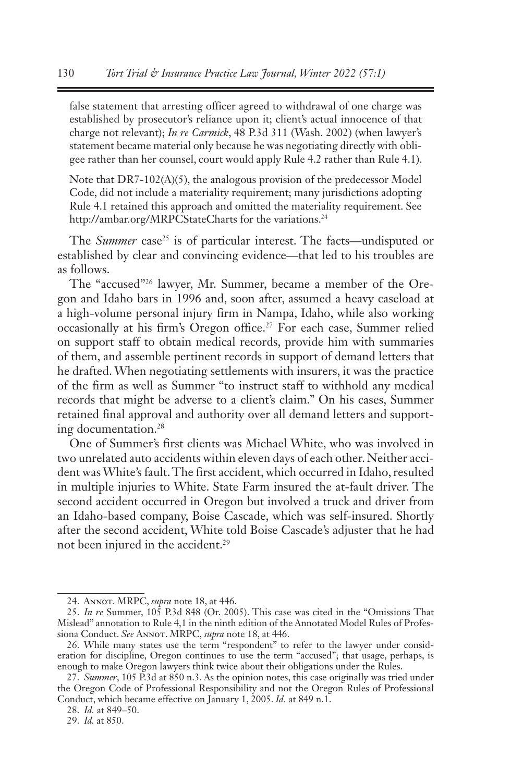false statement that arresting officer agreed to withdrawal of one charge was established by prosecutor's reliance upon it; client's actual innocence of that charge not relevant); *In re Carmick*, 48 P.3d 311 (Wash. 2002) (when lawyer's statement became material only because he was negotiating directly with obligee rather than her counsel, court would apply Rule 4.2 rather than Rule 4.1).

Note that DR7-102(A)(5), the analogous provision of the predecessor Model Code, did not include a materiality requirement; many jurisdictions adopting Rule 4.1 retained this approach and omitted the materiality requirement. See http://ambar.org/MRPCStateCharts for the variations.<sup>24</sup>

The *Summer* case<sup>25</sup> is of particular interest. The facts—undisputed or established by clear and convincing evidence—that led to his troubles are as follows.

The "accused"26 lawyer, Mr. Summer, became a member of the Oregon and Idaho bars in 1996 and, soon after, assumed a heavy caseload at a high-volume personal injury firm in Nampa, Idaho, while also working occasionally at his firm's Oregon office.<sup>27</sup> For each case, Summer relied on support staff to obtain medical records, provide him with summaries of them, and assemble pertinent records in support of demand letters that he drafted. When negotiating settlements with insurers, it was the practice of the firm as well as Summer "to instruct staff to withhold any medical records that might be adverse to a client's claim." On his cases, Summer retained final approval and authority over all demand letters and supporting documentation.28

One of Summer's first clients was Michael White, who was involved in two unrelated auto accidents within eleven days of each other. Neither accident was White's fault. The first accident, which occurred in Idaho, resulted in multiple injuries to White. State Farm insured the at-fault driver. The second accident occurred in Oregon but involved a truck and driver from an Idaho-based company, Boise Cascade, which was self-insured. Shortly after the second accident, White told Boise Cascade's adjuster that he had not been injured in the accident.<sup>29</sup>

<sup>24.</sup> Annot. MRPC, *supra* note 18, at 446.

<sup>25.</sup> *In re* Summer, 105 P.3d 848 (Or. 2005). This case was cited in the "Omissions That Mislead" annotation to Rule 4,1 in the ninth edition of the Annotated Model Rules of Professiona Conduct. See ANNOT. MRPC, *supra* note 18, at 446.

<sup>26.</sup> While many states use the term "respondent" to refer to the lawyer under consideration for discipline, Oregon continues to use the term "accused"; that usage, perhaps, is enough to make Oregon lawyers think twice about their obligations under the Rules.

<sup>27.</sup> *Summer*, 105 P.3d at 850 n.3. As the opinion notes, this case originally was tried under the Oregon Code of Professional Responsibility and not the Oregon Rules of Professional Conduct, which became effective on January 1, 2005. *Id.* at 849 n.1.

<sup>28.</sup> *Id.* at 849–50.

<sup>29.</sup> *Id.* at 850.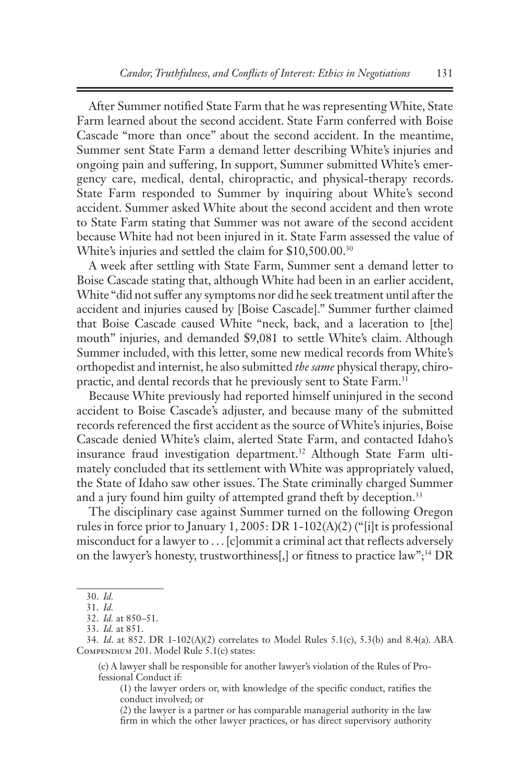After Summer notified State Farm that he was representing White, State Farm learned about the second accident. State Farm conferred with Boise Cascade "more than once" about the second accident. In the meantime, Summer sent State Farm a demand letter describing White's injuries and ongoing pain and suffering, In support, Summer submitted White's emergency care, medical, dental, chiropractic, and physical-therapy records. State Farm responded to Summer by inquiring about White's second accident. Summer asked White about the second accident and then wrote to State Farm stating that Summer was not aware of the second accident because White had not been injured in it. State Farm assessed the value of White's injuries and settled the claim for \$10,500.00.30

A week after settling with State Farm, Summer sent a demand letter to Boise Cascade stating that, although White had been in an earlier accident, White "did not suffer any symptoms nor did he seek treatment until after the accident and injuries caused by [Boise Cascade]." Summer further claimed that Boise Cascade caused White "neck, back, and a laceration to [the] mouth" injuries, and demanded \$9,081 to settle White's claim. Although Summer included, with this letter, some new medical records from White's orthopedist and internist, he also submitted *the same* physical therapy, chiropractic, and dental records that he previously sent to State Farm.<sup>31</sup>

Because White previously had reported himself uninjured in the second accident to Boise Cascade's adjuster, and because many of the submitted records referenced the first accident as the source of White's injuries, Boise Cascade denied White's claim, alerted State Farm, and contacted Idaho's insurance fraud investigation department.<sup>32</sup> Although State Farm ultimately concluded that its settlement with White was appropriately valued, the State of Idaho saw other issues. The State criminally charged Summer and a jury found him guilty of attempted grand theft by deception.<sup>33</sup>

The disciplinary case against Summer turned on the following Oregon rules in force prior to January 1, 2005: DR 1-102(A)(2) ("[i]t is professional misconduct for a lawyer to . . . [c]ommit a criminal act that reflects adversely on the lawyer's honesty, trustworthiness[,] or fitness to practice law";34 DR

(2) the lawyer is a partner or has comparable managerial authority in the law firm in which the other lawyer practices, or has direct supervisory authority

<sup>30.</sup> *Id.*

<sup>31.</sup> *Id.*

<sup>32.</sup> *Id.* at 850–51.

<sup>33.</sup> *Id.* at 851.

<sup>34.</sup> *Id*. at 852. DR 1-102(A)(2) correlates to Model Rules 5.1(c), 5.3(b) and 8.4(a). ABA COMPENDIUM 201. Model Rule 5.1(c) states:

<sup>(</sup>c) A lawyer shall be responsible for another lawyer's violation of the Rules of Professional Conduct if:

<sup>(1)</sup> the lawyer orders or, with knowledge of the specific conduct, ratifies the conduct involved; or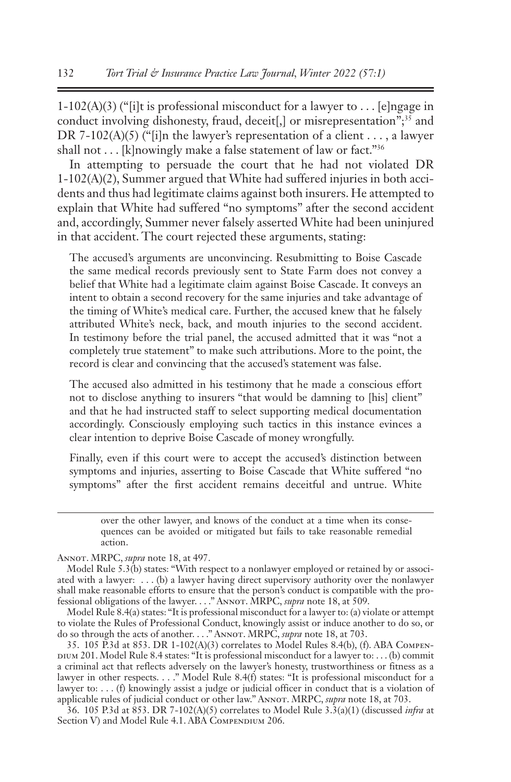$1-102(A)(3)$  ("[i]t is professional misconduct for a lawyer to ... [e]ngage in conduct involving dishonesty, fraud, deceit[,] or misrepresentation";<sup>35</sup> and DR 7-102(A)(5) ("[i]n the lawyer's representation of a client . . . , a lawyer shall not . . . [k]nowingly make a false statement of law or fact."<sup>36</sup>

In attempting to persuade the court that he had not violated DR 1-102(A)(2), Summer argued that White had suffered injuries in both accidents and thus had legitimate claims against both insurers. He attempted to explain that White had suffered "no symptoms" after the second accident and, accordingly, Summer never falsely asserted White had been uninjured in that accident. The court rejected these arguments, stating:

The accused's arguments are unconvincing. Resubmitting to Boise Cascade the same medical records previously sent to State Farm does not convey a belief that White had a legitimate claim against Boise Cascade. It conveys an intent to obtain a second recovery for the same injuries and take advantage of the timing of White's medical care. Further, the accused knew that he falsely attributed White's neck, back, and mouth injuries to the second accident. In testimony before the trial panel, the accused admitted that it was "not a completely true statement" to make such attributions. More to the point, the record is clear and convincing that the accused's statement was false.

The accused also admitted in his testimony that he made a conscious effort not to disclose anything to insurers "that would be damning to [his] client" and that he had instructed staff to select supporting medical documentation accordingly. Consciously employing such tactics in this instance evinces a clear intention to deprive Boise Cascade of money wrongfully.

Finally, even if this court were to accept the accused's distinction between symptoms and injuries, asserting to Boise Cascade that White suffered "no symptoms" after the first accident remains deceitful and untrue. White

over the other lawyer, and knows of the conduct at a time when its consequences can be avoided or mitigated but fails to take reasonable remedial action.

#### ANNOT. MRPC, *supra* note 18, at 497.

Model Rule 5.3(b) states: "With respect to a nonlawyer employed or retained by or associated with a lawyer: . . . (b) a lawyer having direct supervisory authority over the nonlawyer shall make reasonable efforts to ensure that the person's conduct is compatible with the professional obligations of the lawyer. . . . " ANNOT. MRPC, *supra* note 18, at 509.

Model Rule 8.4(a) states: "It is professional misconduct for a lawyer to: (a) violate or attempt to violate the Rules of Professional Conduct, knowingly assist or induce another to do so, or do so through the acts of another. . . . " ANNOT. MRPC, *supra* note 18, at 703.

35. 105 P.3d at 853. DR 1-102(A)(3) correlates to Model Rules 8.4(b), (f). ABA Compen-DIUM 201. Model Rule 8.4 states: "It is professional misconduct for a lawyer to: . . . (b) commit a criminal act that reflects adversely on the lawyer's honesty, trustworthiness or fitness as a lawyer in other respects. . . ." Model Rule 8.4(f) states: "It is professional misconduct for a lawyer to: . . . (f) knowingly assist a judge or judicial officer in conduct that is a violation of applicable rules of judicial conduct or other law." Annot. MRPC, *supra* note 18, at 703.

36. 105 P.3d at 853. DR 7-102(A)(5) correlates to Model Rule 3.3(a)(1) (discussed *infra* at Section V) and Model Rule 4.1. ABA COMPENDIUM 206.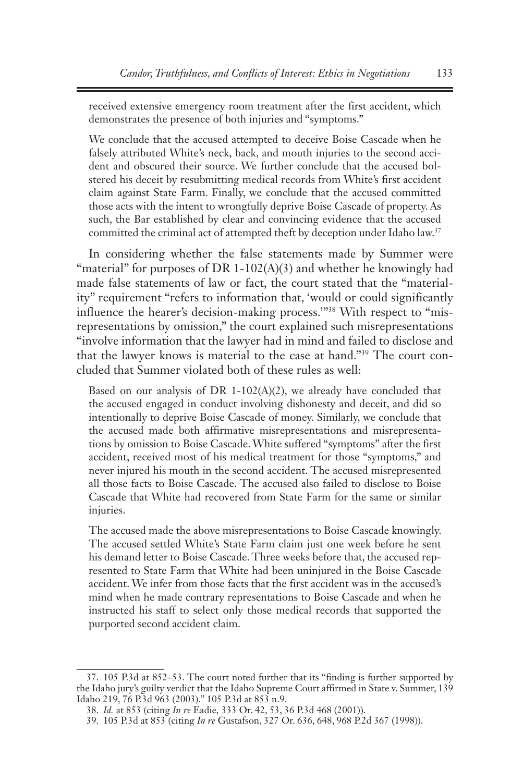received extensive emergency room treatment after the first accident, which demonstrates the presence of both injuries and "symptoms."

We conclude that the accused attempted to deceive Boise Cascade when he falsely attributed White's neck, back, and mouth injuries to the second accident and obscured their source. We further conclude that the accused bolstered his deceit by resubmitting medical records from White's first accident claim against State Farm. Finally, we conclude that the accused committed those acts with the intent to wrongfully deprive Boise Cascade of property. As such, the Bar established by clear and convincing evidence that the accused committed the criminal act of attempted theft by deception under Idaho law.<sup>37</sup>

In considering whether the false statements made by Summer were "material" for purposes of DR 1-102(A)(3) and whether he knowingly had made false statements of law or fact, the court stated that the "materiality" requirement "refers to information that, 'would or could significantly influence the hearer's decision-making process.'"38 With respect to "misrepresentations by omission," the court explained such misrepresentations "involve information that the lawyer had in mind and failed to disclose and that the lawyer knows is material to the case at hand."39 The court concluded that Summer violated both of these rules as well:

Based on our analysis of DR 1-102(A)(2), we already have concluded that the accused engaged in conduct involving dishonesty and deceit, and did so intentionally to deprive Boise Cascade of money. Similarly, we conclude that the accused made both affirmative misrepresentations and misrepresentations by omission to Boise Cascade. White suffered "symptoms" after the first accident, received most of his medical treatment for those "symptoms," and never injured his mouth in the second accident. The accused misrepresented all those facts to Boise Cascade. The accused also failed to disclose to Boise Cascade that White had recovered from State Farm for the same or similar injuries.

The accused made the above misrepresentations to Boise Cascade knowingly. The accused settled White's State Farm claim just one week before he sent his demand letter to Boise Cascade. Three weeks before that, the accused represented to State Farm that White had been uninjured in the Boise Cascade accident. We infer from those facts that the first accident was in the accused's mind when he made contrary representations to Boise Cascade and when he instructed his staff to select only those medical records that supported the purported second accident claim.

<sup>37.</sup> 105 P.3d at 852–53. The court noted further that its "finding is further supported by the Idaho jury's guilty verdict that the Idaho Supreme Court affirmed in State v. Summer, 139 Idaho 219, 76 P.3d 963 (2003)." 105 P.3d at 853 n.9.

<sup>38.</sup> *Id.* at 853 (citing *In re* Eadie*,* 333 Or. 42, 53, 36 P.3d 468 (2001)).

<sup>39.</sup> 105 P.3d at 853 (citing *In re* Gustafson, 327 Or. 636, 648, 968 P.2d 367 (1998)).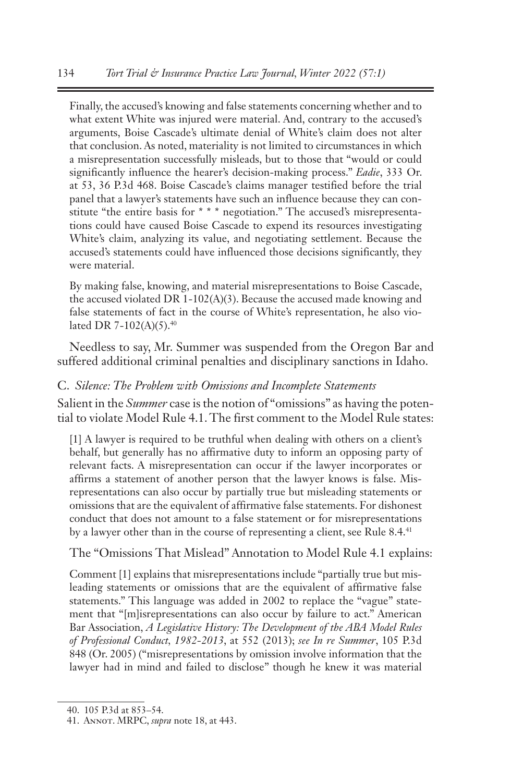Finally, the accused's knowing and false statements concerning whether and to what extent White was injured were material. And, contrary to the accused's arguments, Boise Cascade's ultimate denial of White's claim does not alter that conclusion. As noted, materiality is not limited to circumstances in which a misrepresentation successfully misleads, but to those that "would or could significantly influence the hearer's decision-making process." *Eadie*, 333 Or. at 53, 36 P.3d 468. Boise Cascade's claims manager testified before the trial panel that a lawyer's statements have such an influence because they can constitute "the entire basis for \* \* \* negotiation." The accused's misrepresentations could have caused Boise Cascade to expend its resources investigating White's claim, analyzing its value, and negotiating settlement. Because the accused's statements could have influenced those decisions significantly, they were material.

By making false, knowing, and material misrepresentations to Boise Cascade, the accused violated DR  $1-102(A)(3)$ . Because the accused made knowing and false statements of fact in the course of White's representation, he also violated DR 7-102(A)(5).<sup>40</sup>

Needless to say, Mr. Summer was suspended from the Oregon Bar and suffered additional criminal penalties and disciplinary sanctions in Idaho.

## C. *Silence: The Problem with Omissions and Incomplete Statements*

Salient in the *Summer* case is the notion of "omissions" as having the potential to violate Model Rule 4.1. The first comment to the Model Rule states:

[1] A lawyer is required to be truthful when dealing with others on a client's behalf, but generally has no affirmative duty to inform an opposing party of relevant facts. A misrepresentation can occur if the lawyer incorporates or affirms a statement of another person that the lawyer knows is false. Misrepresentations can also occur by partially true but misleading statements or omissions that are the equivalent of affirmative false statements. For dishonest conduct that does not amount to a false statement or for misrepresentations by a lawyer other than in the course of representing a client, see Rule 8.4.<sup>41</sup>

# The "Omissions That Mislead" Annotation to Model Rule 4.1 explains:

Comment [1] explains that misrepresentations include "partially true but misleading statements or omissions that are the equivalent of affirmative false statements." This language was added in 2002 to replace the "vague" statement that "[m]isrepresentations can also occur by failure to act." American Bar Association, *A Legislative History: The Development of the ABA Model Rules of Professional Conduct, 1982-2013*, at 552 (2013); *see In re Summer*, 105 P.3d 848 (Or. 2005) ("misrepresentations by omission involve information that the lawyer had in mind and failed to disclose" though he knew it was material

<sup>40.</sup> 105 P.3d at 853–54.

<sup>41.</sup> Annot. MRPC, *supra* note 18, at 443.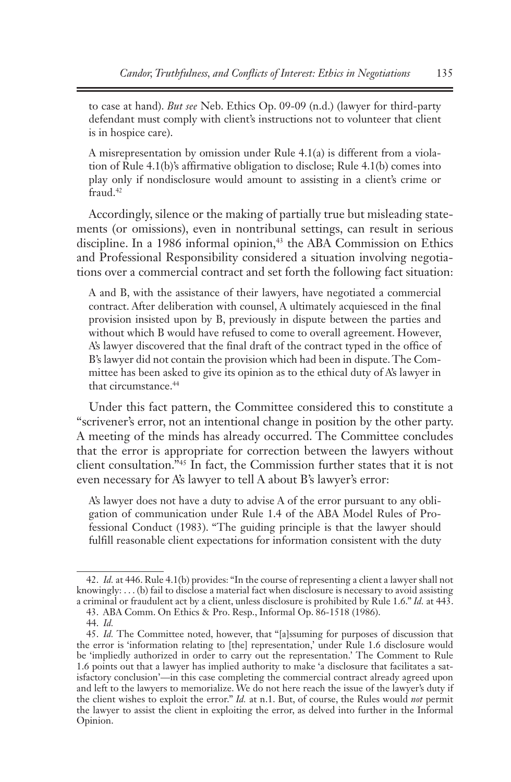to case at hand). *But see* Neb. Ethics Op. 09-09 (n.d.) (lawyer for third-party defendant must comply with client's instructions not to volunteer that client is in hospice care).

A misrepresentation by omission under Rule 4.1(a) is different from a violation of Rule 4.1(b)'s affirmative obligation to disclose; Rule 4.1(b) comes into play only if nondisclosure would amount to assisting in a client's crime or fraud.<sup>42</sup>

Accordingly, silence or the making of partially true but misleading statements (or omissions), even in nontribunal settings, can result in serious discipline. In a 1986 informal opinion,<sup>43</sup> the ABA Commission on Ethics and Professional Responsibility considered a situation involving negotiations over a commercial contract and set forth the following fact situation:

A and B, with the assistance of their lawyers, have negotiated a commercial contract. After deliberation with counsel, A ultimately acquiesced in the final provision insisted upon by B, previously in dispute between the parties and without which B would have refused to come to overall agreement. However, A's lawyer discovered that the final draft of the contract typed in the office of B's lawyer did not contain the provision which had been in dispute. The Committee has been asked to give its opinion as to the ethical duty of A's lawyer in that circumstance.<sup>44</sup>

Under this fact pattern, the Committee considered this to constitute a "scrivener's error, not an intentional change in position by the other party. A meeting of the minds has already occurred. The Committee concludes that the error is appropriate for correction between the lawyers without client consultation."45 In fact, the Commission further states that it is not even necessary for A's lawyer to tell A about B's lawyer's error:

A's lawyer does not have a duty to advise A of the error pursuant to any obligation of communication under Rule 1.4 of the ABA Model Rules of Professional Conduct (1983). "The guiding principle is that the lawyer should fulfill reasonable client expectations for information consistent with the duty

<sup>42.</sup> *Id.* at 446. Rule 4.1(b) provides: "In the course of representing a client a lawyer shall not knowingly: . . . (b) fail to disclose a material fact when disclosure is necessary to avoid assisting a criminal or fraudulent act by a client, unless disclosure is prohibited by Rule 1.6." *Id.* at 443. 43. ABA Comm. On Ethics & Pro. Resp., Informal Op. 86-1518 (1986).

<sup>44.</sup> *Id.*

<sup>45.</sup> *Id.* The Committee noted, however, that "[a]ssuming for purposes of discussion that the error is 'information relating to [the] representation,' under Rule 1.6 disclosure would be 'impliedly authorized in order to carry out the representation.' The Comment to Rule 1.6 points out that a lawyer has implied authority to make 'a disclosure that facilitates a satisfactory conclusion'—in this case completing the commercial contract already agreed upon and left to the lawyers to memorialize. We do not here reach the issue of the lawyer's duty if the client wishes to exploit the error." *Id.* at n.1. But, of course, the Rules would *not* permit the lawyer to assist the client in exploiting the error, as delved into further in the Informal Opinion.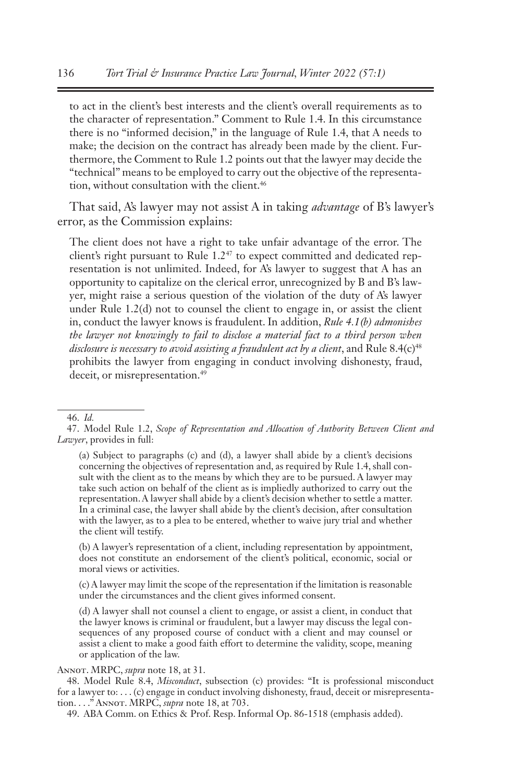to act in the client's best interests and the client's overall requirements as to the character of representation." Comment to Rule 1.4. In this circumstance there is no "informed decision," in the language of Rule 1.4, that A needs to make; the decision on the contract has already been made by the client. Furthermore, the Comment to Rule 1.2 points out that the lawyer may decide the "technical" means to be employed to carry out the objective of the representation, without consultation with the client.<sup>46</sup>

That said, A's lawyer may not assist A in taking *advantage* of B's lawyer's error, as the Commission explains:

The client does not have a right to take unfair advantage of the error. The client's right pursuant to Rule 1.2<sup>47</sup> to expect committed and dedicated representation is not unlimited. Indeed, for A's lawyer to suggest that A has an opportunity to capitalize on the clerical error, unrecognized by B and B's lawyer, might raise a serious question of the violation of the duty of A's lawyer under Rule 1.2(d) not to counsel the client to engage in, or assist the client in, conduct the lawyer knows is fraudulent. In addition, *Rule 4.1(b) admonishes the lawyer not knowingly to fail to disclose a material fact to a third person when*  disclosure is necessary to avoid assisting a fraudulent act by a client, and Rule 8.4(c)<sup>48</sup> prohibits the lawyer from engaging in conduct involving dishonesty, fraud, deceit, or misrepresentation.<sup>49</sup>

(a) Subject to paragraphs (c) and (d), a lawyer shall abide by a client's decisions concerning the objectives of representation and, as required by Rule 1.4, shall consult with the client as to the means by which they are to be pursued. A lawyer may take such action on behalf of the client as is impliedly authorized to carry out the representation. A lawyer shall abide by a client's decision whether to settle a matter. In a criminal case, the lawyer shall abide by the client's decision, after consultation with the lawyer, as to a plea to be entered, whether to waive jury trial and whether the client will testify.

(b) A lawyer's representation of a client, including representation by appointment, does not constitute an endorsement of the client's political, economic, social or moral views or activities.

(c) A lawyer may limit the scope of the representation if the limitation is reasonable under the circumstances and the client gives informed consent.

(d) A lawyer shall not counsel a client to engage, or assist a client, in conduct that the lawyer knows is criminal or fraudulent, but a lawyer may discuss the legal consequences of any proposed course of conduct with a client and may counsel or assist a client to make a good faith effort to determine the validity, scope, meaning or application of the law.

ANNOT. MRPC, *supra* note 18, at 31.

48. Model Rule 8.4, *Misconduct*, subsection (c) provides: "It is professional misconduct for a lawyer to: . . . (c) engage in conduct involving dishonesty, fraud, deceit or misrepresentation....<sup>3</sup> ANNOT. MRPC, *supra* note 18, at 703.

49. ABA Comm. on Ethics & Prof. Resp. Informal Op. 86-1518 (emphasis added).

<sup>46.</sup> *Id.*

<sup>47.</sup> Model Rule 1.2, *Scope of Representation and Allocation of Authority Between Client and Lawyer*, provides in full: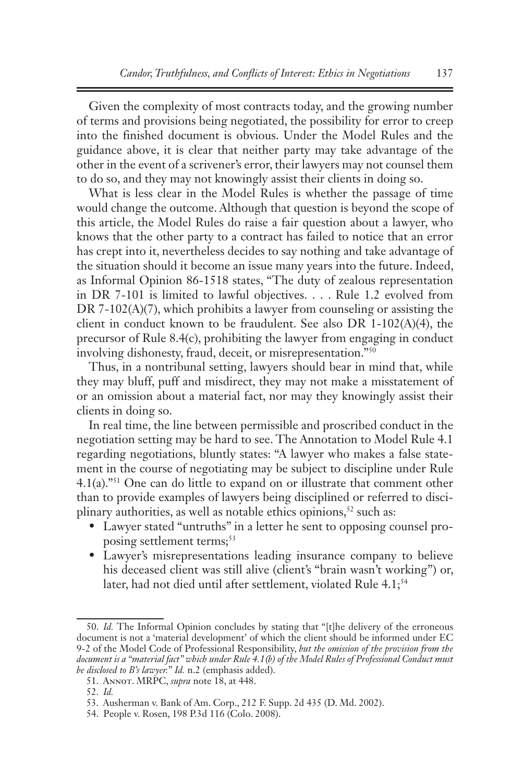Given the complexity of most contracts today, and the growing number of terms and provisions being negotiated, the possibility for error to creep into the finished document is obvious. Under the Model Rules and the guidance above, it is clear that neither party may take advantage of the other in the event of a scrivener's error, their lawyers may not counsel them to do so, and they may not knowingly assist their clients in doing so.

What is less clear in the Model Rules is whether the passage of time would change the outcome. Although that question is beyond the scope of this article, the Model Rules do raise a fair question about a lawyer, who knows that the other party to a contract has failed to notice that an error has crept into it, nevertheless decides to say nothing and take advantage of the situation should it become an issue many years into the future. Indeed, as Informal Opinion 86-1518 states, "The duty of zealous representation in DR 7-101 is limited to lawful objectives. . . . Rule 1.2 evolved from DR 7-102(A)(7), which prohibits a lawyer from counseling or assisting the client in conduct known to be fraudulent. See also DR 1-102(A)(4), the precursor of Rule 8.4(c), prohibiting the lawyer from engaging in conduct involving dishonesty, fraud, deceit, or misrepresentation."50

Thus, in a nontribunal setting, lawyers should bear in mind that, while they may bluff, puff and misdirect, they may not make a misstatement of or an omission about a material fact, nor may they knowingly assist their clients in doing so.

In real time, the line between permissible and proscribed conduct in the negotiation setting may be hard to see. The Annotation to Model Rule 4.1 regarding negotiations, bluntly states: "A lawyer who makes a false statement in the course of negotiating may be subject to discipline under Rule 4.1(a)."51 One can do little to expand on or illustrate that comment other than to provide examples of lawyers being disciplined or referred to disciplinary authorities, as well as notable ethics opinions,<sup>52</sup> such as:

- Lawyer stated "untruths" in a letter he sent to opposing counsel proposing settlement terms;<sup>53</sup>
- Lawyer's misrepresentations leading insurance company to believe his deceased client was still alive (client's "brain wasn't working") or, later, had not died until after settlement, violated Rule 4.1;<sup>54</sup>

<sup>50.</sup> *Id.* The Informal Opinion concludes by stating that "[t]he delivery of the erroneous document is not a 'material development' of which the client should be informed under EC 9-2 of the Model Code of Professional Responsibility, *but the omission of the provision from the document is a "material fact" which under Rule 4.1(b) of the Model Rules of Professional Conduct must be disclosed to B's lawyer.*" *Id.* n.2 (emphasis added).

<sup>51.</sup> Annot. MRPC, *supra* note 18, at 448.

<sup>52.</sup> *Id.*

<sup>53.</sup> Ausherman v. Bank of Am. Corp., 212 F. Supp. 2d 435 (D. Md. 2002).

<sup>54.</sup> People v. Rosen, 198 P.3d 116 (Colo. 2008).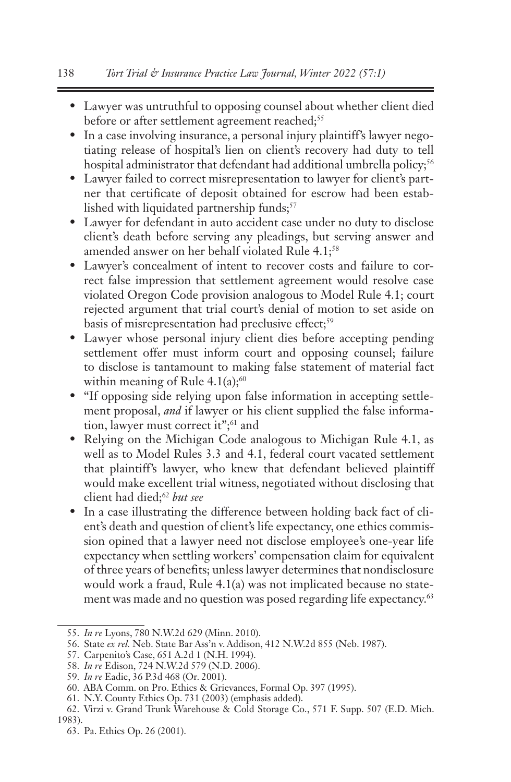- Lawyer was untruthful to opposing counsel about whether client died before or after settlement agreement reached;<sup>55</sup>
- In a case involving insurance, a personal injury plaintiff's lawyer negotiating release of hospital's lien on client's recovery had duty to tell hospital administrator that defendant had additional umbrella policy;<sup>56</sup>
- Lawyer failed to correct misrepresentation to lawyer for client's partner that certificate of deposit obtained for escrow had been established with liquidated partnership funds;<sup>57</sup>
- Lawyer for defendant in auto accident case under no duty to disclose client's death before serving any pleadings, but serving answer and amended answer on her behalf violated Rule 4.1;58
- Lawyer's concealment of intent to recover costs and failure to correct false impression that settlement agreement would resolve case violated Oregon Code provision analogous to Model Rule 4.1; court rejected argument that trial court's denial of motion to set aside on basis of misrepresentation had preclusive effect;<sup>59</sup>
- Lawyer whose personal injury client dies before accepting pending settlement offer must inform court and opposing counsel; failure to disclose is tantamount to making false statement of material fact within meaning of Rule  $4.1(a)$ ;<sup>60</sup>
- "If opposing side relying upon false information in accepting settlement proposal, *and* if lawyer or his client supplied the false information, lawyer must correct it";<sup>61</sup> and
- Relying on the Michigan Code analogous to Michigan Rule 4.1, as well as to Model Rules 3.3 and 4.1, federal court vacated settlement that plaintiff's lawyer, who knew that defendant believed plaintiff would make excellent trial witness, negotiated without disclosing that client had died;62 *but see*
- In a case illustrating the difference between holding back fact of client's death and question of client's life expectancy, one ethics commission opined that a lawyer need not disclose employee's one-year life expectancy when settling workers' compensation claim for equivalent of three years of benefits; unless lawyer determines that nondisclosure would work a fraud, Rule 4.1(a) was not implicated because no statement was made and no question was posed regarding life expectancy.<sup>63</sup>

61. N.Y. County Ethics Op. 731 (2003) (emphasis added).

<sup>55.</sup> *In re* Lyons, 780 N.W.2d 629 (Minn. 2010).

<sup>56.</sup> State *ex rel.* Neb. State Bar Ass'n v. Addison, 412 N.W.2d 855 (Neb. 1987).

<sup>57.</sup> Carpenito's Case, 651 A.2d 1 (N.H. 1994).

<sup>58.</sup> *In re* Edison, 724 N.W.2d 579 (N.D. 2006).

<sup>59.</sup> *In re* Eadie, 36 P.3d 468 (Or. 2001).

<sup>60.</sup> ABA Comm. on Pro. Ethics & Grievances, Formal Op. 397 (1995).

<sup>62.</sup> Virzi v. Grand Trunk Warehouse & Cold Storage Co., 571 F. Supp. 507 (E.D. Mich. 1983).

<sup>63.</sup> Pa. Ethics Op. 26 (2001).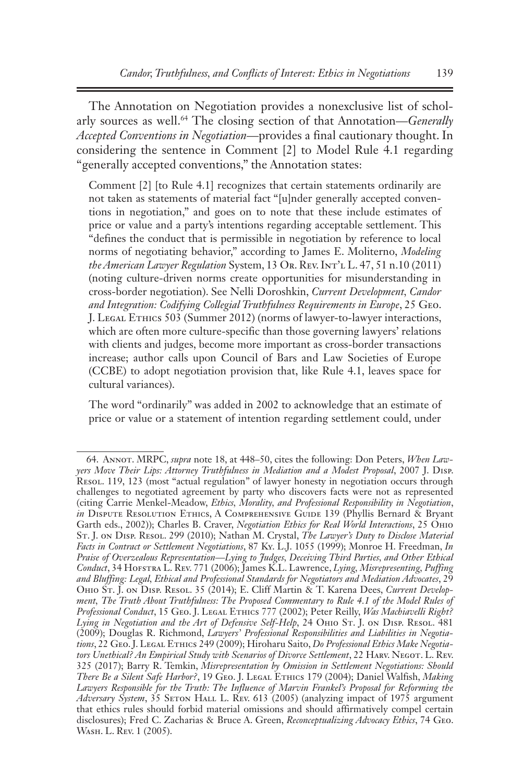The Annotation on Negotiation provides a nonexclusive list of scholarly sources as well.<sup>64</sup> The closing section of that Annotation—*Generally Accepted Conventions in Negotiation*—provides a final cautionary thought. In considering the sentence in Comment [2] to Model Rule 4.1 regarding "generally accepted conventions," the Annotation states:

Comment [2] [to Rule 4.1] recognizes that certain statements ordinarily are not taken as statements of material fact "[u]nder generally accepted conventions in negotiation," and goes on to note that these include estimates of price or value and a party's intentions regarding acceptable settlement. This "defines the conduct that is permissible in negotiation by reference to local norms of negotiating behavior," according to James E. Moliterno, *Modeling the American Lawyer Regulation System, 13 Or. Rev. Int't L. 47, 51 n.10 (2011)* (noting culture-driven norms create opportunities for misunderstanding in cross-border negotiation). See Nelli Doroshkin, *Current Development, Candor and Integration: Codifying Collegial Truthfulness Requirements in Europe*, 25 Geo. J. LEGAL ETHICS 503 (Summer 2012) (norms of lawyer-to-lawyer interactions, which are often more culture-specific than those governing lawyers' relations with clients and judges, become more important as cross-border transactions increase; author calls upon Council of Bars and Law Societies of Europe (CCBE) to adopt negotiation provision that, like Rule 4.1, leaves space for cultural variances).

The word "ordinarily" was added in 2002 to acknowledge that an estimate of price or value or a statement of intention regarding settlement could, under

<sup>64.</sup> Annot. MRPC, *supra* note 18, at 448–50, cites the following: Don Peters, *When Lawyers Move Their Lips: Attorney Truthfulness in Mediation and a Modest Proposal*, 2007 J. Disp. Resol. 119, 123 (most "actual regulation" of lawyer honesty in negotiation occurs through challenges to negotiated agreement by party who discovers facts were not as represented (citing Carrie Menkel-Meadow, *Ethics, Morality, and Professional Responsibility in Negotiation*, *in* Dispute Resolution Ethics, A Comprehensive Guide 139 (Phyllis Bernard & Bryant Garth eds., 2002)); Charles B. Craver, *Negotiation Ethics for Real World Interactions*, 25 Ohio St. J. on Disp. Resol. 299 (2010); Nathan M. Crystal, *The Lawyer's Duty to Disclose Material Facts in Contract or Settlement Negotiations*, 87 Ky. L.J. 1055 (1999); Monroe H. Freedman, *In Praise of Overzealous Representation—Lying to Judges, Deceiving Third Parties, and Other Ethical Conduct*, 34 Hofstra L. Rev. 771 (2006); James K.L. Lawrence, *Lying, Misrepresenting, Puffing and Bluffing: Legal, Ethical and Professional Standards for Negotiators and Mediation Advocates*, 29 Ohio St. J. on Disp. Resol. 35 (2014); E. Cliff Martin & T. Karena Dees, *Current Development, The Truth About Truthfulness: The Proposed Commentary to Rule 4.1 of the Model Rules of Professional Conduct*, 15 Geo. J. Legal Ethics 777 (2002); Peter Reilly, *Was Machiavelli Right?*  Lying in Negotiation and the Art of Defensive Self-Help, 24 Ohio St. J. on Disp. Resol. 481 (2009); Douglas R. Richmond, *Lawyers' Professional Responsibilities and Liabilities in Negotiations*, 22 Geo. J. Legal Ethics 249 (2009); Hiroharu Saito, *Do Professional Ethics Make Negotia*tors Unethical? An Empirical Study with Scenarios of Divorce Settlement, 22 Harv. Negot. L. Rev. 325 (2017); Barry R. Temkin, *Misrepresentation by Omission in Settlement Negotiations: Should There Be a Silent Safe Harbor?*, 19 Geo. J. Legal Ethics 179 (2004); Daniel Walfish, *Making Lawyers Responsible for the Truth: The Influence of Marvin Frankel's Proposal for Reforming the Adversary System*, 35 SETON HALL L. REV. 613 (2005) (analyzing impact of 1975 argument that ethics rules should forbid material omissions and should affirmatively compel certain disclosures); Fred C. Zacharias & Bruce A. Green, *Reconceptualizing Advocacy Ethics*, 74 Geo. Wash. L. Rev. 1 (2005).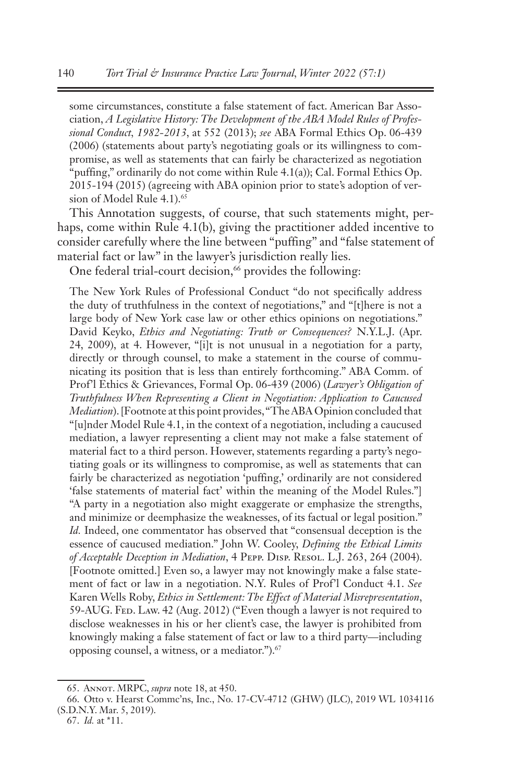some circumstances, constitute a false statement of fact. American Bar Association, *A Legislative History: The Development of the ABA Model Rules of Professional Conduct, 1982-2013*, at 552 (2013); *see* ABA Formal Ethics Op. 06-439 (2006) (statements about party's negotiating goals or its willingness to compromise, as well as statements that can fairly be characterized as negotiation "puffing," ordinarily do not come within Rule 4.1(a)); Cal. Formal Ethics Op. 2015-194 (2015) (agreeing with ABA opinion prior to state's adoption of version of Model Rule 4.1).<sup>65</sup>

This Annotation suggests, of course, that such statements might, perhaps, come within Rule 4.1(b), giving the practitioner added incentive to consider carefully where the line between "puffing" and "false statement of material fact or law" in the lawyer's jurisdiction really lies.

One federal trial-court decision,<sup>66</sup> provides the following:

The New York Rules of Professional Conduct "do not specifically address the duty of truthfulness in the context of negotiations," and "[t]here is not a large body of New York case law or other ethics opinions on negotiations." David Keyko, *Ethics and Negotiating: Truth or Consequences?* N.Y.L.J. (Apr. 24, 2009), at 4. However, "[i]t is not unusual in a negotiation for a party, directly or through counsel, to make a statement in the course of communicating its position that is less than entirely forthcoming." ABA Comm. of Prof'l Ethics & Grievances, Formal Op. 06-439 (2006) (*Lawyer's Obligation of Truthfulness When Representing a Client in Negotiation: Application to Caucused Mediation*). [Footnote at this point provides, "The ABA Opinion concluded that "[u]nder Model Rule 4.1, in the context of a negotiation, including a caucused mediation, a lawyer representing a client may not make a false statement of material fact to a third person. However, statements regarding a party's negotiating goals or its willingness to compromise, as well as statements that can fairly be characterized as negotiation 'puffing,' ordinarily are not considered 'false statements of material fact' within the meaning of the Model Rules."] "A party in a negotiation also might exaggerate or emphasize the strengths, and minimize or deemphasize the weaknesses, of its factual or legal position." *Id.* Indeed, one commentator has observed that "consensual deception is the essence of caucused mediation." John W. Cooley, *Defining the Ethical Limits of Acceptable Deception in Mediation*, 4 Pepp. Disp. Resol. L.J. 263, 264 (2004). [Footnote omitted.] Even so, a lawyer may not knowingly make a false statement of fact or law in a negotiation. N.Y. Rules of Prof'l Conduct 4.1. *See* Karen Wells Roby, *Ethics in Settlement: The Effect of Material Misrepresentation*, 59-AUG. Fed. Law. 42 (Aug. 2012) ("Even though a lawyer is not required to disclose weaknesses in his or her client's case, the lawyer is prohibited from knowingly making a false statement of fact or law to a third party—including opposing counsel, a witness, or a mediator.").67

<sup>65.</sup> Annot. MRPC, *supra* note 18, at 450.

<sup>66.</sup> Otto v. Hearst Commc'ns, Inc., No. 17-CV-4712 (GHW) (JLC), 2019 WL 1034116 (S.D.N.Y. Mar. 5, 2019).

<sup>67.</sup> *Id.* at \*11.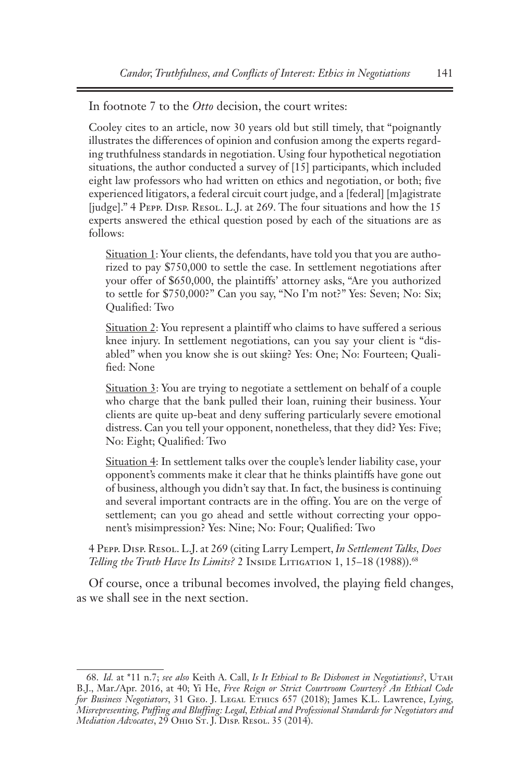In footnote 7 to the *Otto* decision, the court writes:

Cooley cites to an article, now 30 years old but still timely, that "poignantly illustrates the differences of opinion and confusion among the experts regarding truthfulness standards in negotiation. Using four hypothetical negotiation situations, the author conducted a survey of [15] participants, which included eight law professors who had written on ethics and negotiation, or both; five experienced litigators, a federal circuit court judge, and a [federal] [m]agistrate [judge]." 4 PEPP. DISP. RESOL. L.J. at 269. The four situations and how the 15 experts answered the ethical question posed by each of the situations are as follows:

Situation 1: Your clients, the defendants, have told you that you are authorized to pay \$750,000 to settle the case. In settlement negotiations after your offer of \$650,000, the plaintiffs' attorney asks, "Are you authorized to settle for \$750,000?" Can you say, "No I'm not?" Yes: Seven; No: Six; Qualified: Two

Situation 2: You represent a plaintiff who claims to have suffered a serious knee injury. In settlement negotiations, can you say your client is "disabled" when you know she is out skiing? Yes: One; No: Fourteen; Qualified: None

Situation 3: You are trying to negotiate a settlement on behalf of a couple who charge that the bank pulled their loan, ruining their business. Your clients are quite up-beat and deny suffering particularly severe emotional distress. Can you tell your opponent, nonetheless, that they did? Yes: Five; No: Eight; Qualified: Two

Situation 4: In settlement talks over the couple's lender liability case, your opponent's comments make it clear that he thinks plaintiffs have gone out of business, although you didn't say that. In fact, the business is continuing and several important contracts are in the offing. You are on the verge of settlement; can you go ahead and settle without correcting your opponent's misimpression? Yes: Nine; No: Four; Qualified: Two

4 Pepp. Disp. Resol. L.J. at 269 (citing Larry Lempert, *In Settlement Talks, Does Telling the Truth Have Its Limits?* 2 Inside Litigation 1, 15-18 (1988)).<sup>68</sup>

Of course, once a tribunal becomes involved, the playing field changes, as we shall see in the next section.

<sup>68.</sup> *Id.* at \*11 n.7; *see also* Keith A. Call, *Is It Ethical to Be Dishonest in Negotiations?*, Utah B.J., Mar./Apr. 2016, at 40; Yi He, *Free Reign or Strict Courtroom Courtesy? An Ethical Code*  for Business Negotiators, 31 GEO. J. LEGAL ETHICS 657 (2018); James K.L. Lawrence, Lying, *Misrepresenting, Puffing and Bluffing: Legal, Ethical and Professional Standards for Negotiators and Mediation Advocates*, 29 OHIO ST. J. DISP. RESOL. 35 (2014).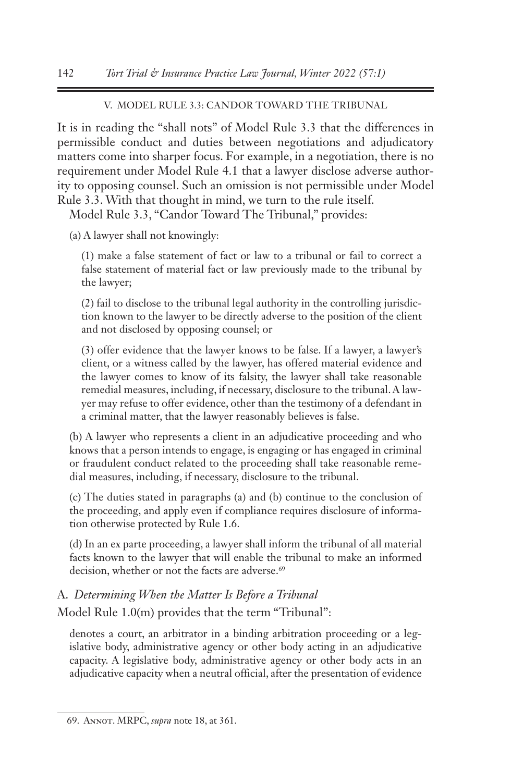#### V. MODEL RULE 3.3: CANDOR TOWARD THE TRIBUNAL

It is in reading the "shall nots" of Model Rule 3.3 that the differences in permissible conduct and duties between negotiations and adjudicatory matters come into sharper focus. For example, in a negotiation, there is no requirement under Model Rule 4.1 that a lawyer disclose adverse authority to opposing counsel. Such an omission is not permissible under Model Rule 3.3. With that thought in mind, we turn to the rule itself.

Model Rule 3.3, "Candor Toward The Tribunal," provides:

(a) A lawyer shall not knowingly:

(1) make a false statement of fact or law to a tribunal or fail to correct a false statement of material fact or law previously made to the tribunal by the lawyer;

(2) fail to disclose to the tribunal legal authority in the controlling jurisdiction known to the lawyer to be directly adverse to the position of the client and not disclosed by opposing counsel; or

(3) offer evidence that the lawyer knows to be false. If a lawyer, a lawyer's client, or a witness called by the lawyer, has offered material evidence and the lawyer comes to know of its falsity, the lawyer shall take reasonable remedial measures, including, if necessary, disclosure to the tribunal. A lawyer may refuse to offer evidence, other than the testimony of a defendant in a criminal matter, that the lawyer reasonably believes is false.

(b) A lawyer who represents a client in an adjudicative proceeding and who knows that a person intends to engage, is engaging or has engaged in criminal or fraudulent conduct related to the proceeding shall take reasonable remedial measures, including, if necessary, disclosure to the tribunal.

(c) The duties stated in paragraphs (a) and (b) continue to the conclusion of the proceeding, and apply even if compliance requires disclosure of information otherwise protected by Rule 1.6.

(d) In an ex parte proceeding, a lawyer shall inform the tribunal of all material facts known to the lawyer that will enable the tribunal to make an informed decision, whether or not the facts are adverse.<sup>69</sup>

## A. *Determining When the Matter Is Before a Tribunal*

Model Rule 1.0(m) provides that the term "Tribunal":

denotes a court, an arbitrator in a binding arbitration proceeding or a legislative body, administrative agency or other body acting in an adjudicative capacity. A legislative body, administrative agency or other body acts in an adjudicative capacity when a neutral official, after the presentation of evidence

<sup>69.</sup> Annot. MRPC, *supra* note 18, at 361.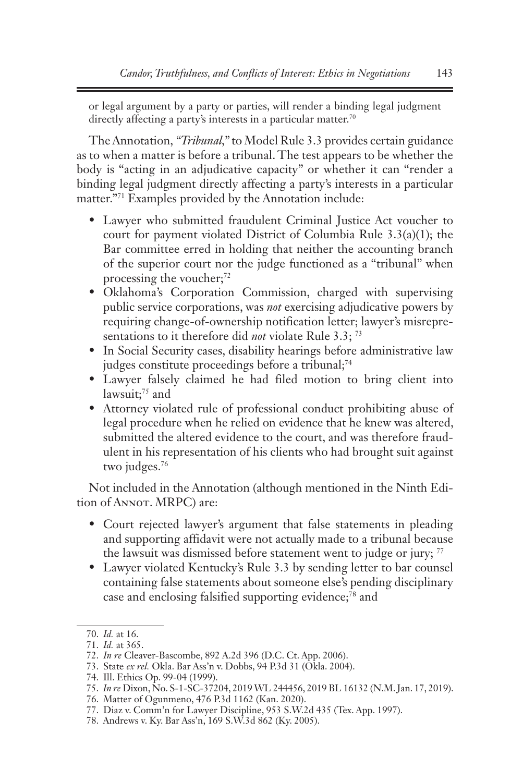or legal argument by a party or parties, will render a binding legal judgment directly affecting a party's interests in a particular matter.<sup>70</sup>

The Annotation, *"Tribunal,"* to Model Rule 3.3 provides certain guidance as to when a matter is before a tribunal. The test appears to be whether the body is "acting in an adjudicative capacity" or whether it can "render a binding legal judgment directly affecting a party's interests in a particular matter."71 Examples provided by the Annotation include:

- Lawyer who submitted fraudulent Criminal Justice Act voucher to court for payment violated District of Columbia Rule 3.3(a)(1); the Bar committee erred in holding that neither the accounting branch of the superior court nor the judge functioned as a "tribunal" when processing the voucher;<sup>72</sup>
- Oklahoma's Corporation Commission, charged with supervising public service corporations, was *not* exercising adjudicative powers by requiring change-of-ownership notification letter; lawyer's misrepresentations to it therefore did *not* violate Rule 3.3; 73
- In Social Security cases, disability hearings before administrative law judges constitute proceedings before a tribunal;<sup>74</sup>
- Lawyer falsely claimed he had filed motion to bring client into lawsuit;<sup>75</sup> and
- Attorney violated rule of professional conduct prohibiting abuse of legal procedure when he relied on evidence that he knew was altered, submitted the altered evidence to the court, and was therefore fraudulent in his representation of his clients who had brought suit against two judges.<sup>76</sup>

Not included in the Annotation (although mentioned in the Ninth Edition of ANNOT. MRPC) are:

- Court rejected lawyer's argument that false statements in pleading and supporting affidavit were not actually made to a tribunal because the lawsuit was dismissed before statement went to judge or jury; <sup>77</sup>
- Lawyer violated Kentucky's Rule 3.3 by sending letter to bar counsel containing false statements about someone else's pending disciplinary case and enclosing falsified supporting evidence;<sup>78</sup> and

<sup>70.</sup> *Id.* at 16.

<sup>71.</sup> *Id.* at 365.

<sup>72.</sup> *In re* Cleaver-Bascombe, 892 A.2d 396 (D.C. Ct. App. 2006).

<sup>73.</sup> State *ex rel.* Okla. Bar Ass'n v. Dobbs, 94 P.3d 31 (Okla. 2004).

<sup>74.</sup> Ill. Ethics Op. 99-04 (1999).

<sup>75.</sup> *In re* Dixon, No. S-1-SC-37204, 2019 WL 244456, 2019 BL 16132 (N.M. Jan. 17, 2019).

<sup>76.</sup> Matter of Ogunmeno, 476 P.3d 1162 (Kan. 2020).

<sup>77.</sup> Diaz v. Comm'n for Lawyer Discipline, 953 S.W.2d 435 (Tex. App. 1997).

<sup>78.</sup> Andrews v. Ky. Bar Ass'n, 169 S.W.3d 862 (Ky. 2005).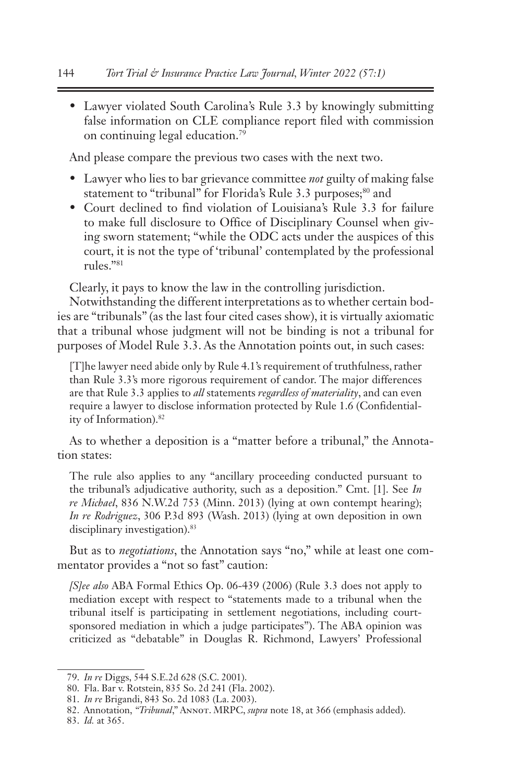• Lawyer violated South Carolina's Rule 3.3 by knowingly submitting false information on CLE compliance report filed with commission on continuing legal education.79

And please compare the previous two cases with the next two.

- Lawyer who lies to bar grievance committee *not* guilty of making false statement to "tribunal" for Florida's Rule 3.3 purposes;<sup>80</sup> and
- Court declined to find violation of Louisiana's Rule 3.3 for failure to make full disclosure to Office of Disciplinary Counsel when giving sworn statement; "while the ODC acts under the auspices of this court, it is not the type of 'tribunal' contemplated by the professional rules."81

Clearly, it pays to know the law in the controlling jurisdiction.

Notwithstanding the different interpretations as to whether certain bodies are "tribunals" (as the last four cited cases show), it is virtually axiomatic that a tribunal whose judgment will not be binding is not a tribunal for purposes of Model Rule 3.3. As the Annotation points out, in such cases:

[T]he lawyer need abide only by Rule 4.1's requirement of truthfulness, rather than Rule 3.3's more rigorous requirement of candor. The major differences are that Rule 3.3 applies to *all* statements *regardless of materiality*, and can even require a lawyer to disclose information protected by Rule 1.6 (Confidentiality of Information).82

As to whether a deposition is a "matter before a tribunal," the Annotation states:

The rule also applies to any "ancillary proceeding conducted pursuant to the tribunal's adjudicative authority, such as a deposition." Cmt. [1]. See *In re Michael*, 836 N.W.2d 753 (Minn. 2013) (lying at own contempt hearing); *In re Rodriguez*, 306 P.3d 893 (Wash. 2013) (lying at own deposition in own disciplinary investigation).<sup>83</sup>

But as to *negotiations*, the Annotation says "no," while at least one commentator provides a "not so fast" caution:

*[S]ee also* ABA Formal Ethics Op. 06-439 (2006) (Rule 3.3 does not apply to mediation except with respect to "statements made to a tribunal when the tribunal itself is participating in settlement negotiations, including courtsponsored mediation in which a judge participates"). The ABA opinion was criticized as "debatable" in Douglas R. Richmond, Lawyers' Professional

<sup>79.</sup> *In re* Diggs, 544 S.E.2d 628 (S.C. 2001).

<sup>80.</sup> Fla. Bar v. Rotstein, 835 So. 2d 241 (Fla. 2002).

<sup>81.</sup> *In re* Brigandi, 843 So. 2d 1083 (La. 2003).

<sup>82.</sup> Annotation, "Tribunal," ANNOT. MRPC, *supra* note 18, at 366 (emphasis added). 83. *Id.* at 365.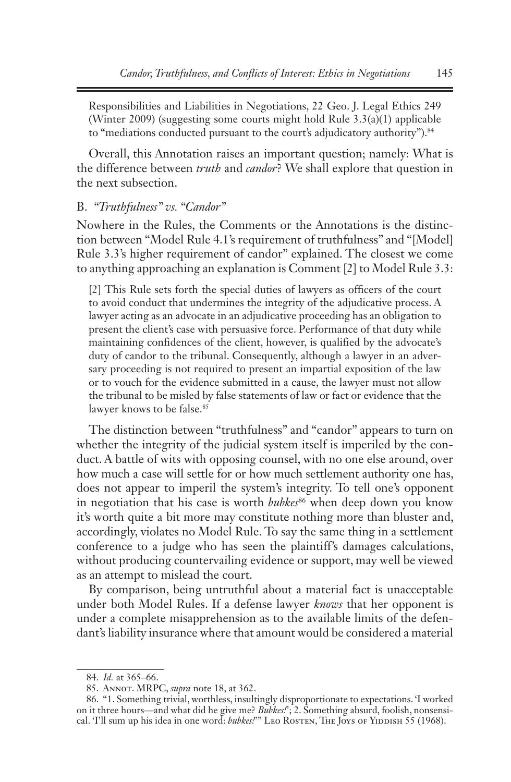Responsibilities and Liabilities in Negotiations, 22 Geo. J. Legal Ethics 249 (Winter 2009) (suggesting some courts might hold Rule 3.3(a)(1) applicable to "mediations conducted pursuant to the court's adjudicatory authority").<sup>84</sup>

Overall, this Annotation raises an important question; namely: What is the difference between *truth* and *candor*? We shall explore that question in the next subsection.

#### B. *"Truthfulness" vs. "Candor"*

Nowhere in the Rules, the Comments or the Annotations is the distinction between "Model Rule 4.1's requirement of truthfulness" and "[Model] Rule 3.3's higher requirement of candor" explained. The closest we come to anything approaching an explanation is Comment [2] to Model Rule 3.3:

[2] This Rule sets forth the special duties of lawyers as officers of the court to avoid conduct that undermines the integrity of the adjudicative process. A lawyer acting as an advocate in an adjudicative proceeding has an obligation to present the client's case with persuasive force. Performance of that duty while maintaining confidences of the client, however, is qualified by the advocate's duty of candor to the tribunal. Consequently, although a lawyer in an adversary proceeding is not required to present an impartial exposition of the law or to vouch for the evidence submitted in a cause, the lawyer must not allow the tribunal to be misled by false statements of law or fact or evidence that the lawyer knows to be false.<sup>85</sup>

The distinction between "truthfulness" and "candor" appears to turn on whether the integrity of the judicial system itself is imperiled by the conduct. A battle of wits with opposing counsel, with no one else around, over how much a case will settle for or how much settlement authority one has, does not appear to imperil the system's integrity. To tell one's opponent in negotiation that his case is worth *bubkes*86 when deep down you know it's worth quite a bit more may constitute nothing more than bluster and, accordingly, violates no Model Rule. To say the same thing in a settlement conference to a judge who has seen the plaintiff's damages calculations, without producing countervailing evidence or support, may well be viewed as an attempt to mislead the court.

By comparison, being untruthful about a material fact is unacceptable under both Model Rules. If a defense lawyer *knows* that her opponent is under a complete misapprehension as to the available limits of the defendant's liability insurance where that amount would be considered a material

<sup>84.</sup> *Id.* at 365–66.

<sup>85.</sup> Annot. MRPC, *supra* note 18, at 362.

<sup>86.</sup> "1. Something trivial, worthless, insultingly disproportionate to expectations. 'I worked on it three hours—and what did he give me? *Bubkes!*'; 2. Something absurd, foolish, nonsensical. 'I'll sum up his idea in one word: *bubkes!*" LEO ROSTEN, THE JOYS OF YIDDISH 55 (1968).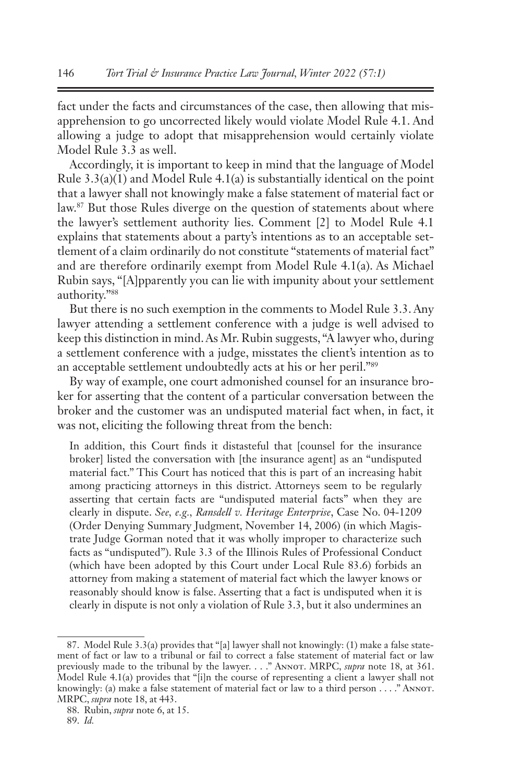fact under the facts and circumstances of the case, then allowing that misapprehension to go uncorrected likely would violate Model Rule 4.1. And allowing a judge to adopt that misapprehension would certainly violate Model Rule 3.3 as well.

Accordingly, it is important to keep in mind that the language of Model Rule 3.3(a)(1) and Model Rule 4.1(a) is substantially identical on the point that a lawyer shall not knowingly make a false statement of material fact or law.<sup>87</sup> But those Rules diverge on the question of statements about where the lawyer's settlement authority lies. Comment [2] to Model Rule 4.1 explains that statements about a party's intentions as to an acceptable settlement of a claim ordinarily do not constitute "statements of material fact" and are therefore ordinarily exempt from Model Rule 4.1(a). As Michael Rubin says, "[A]pparently you can lie with impunity about your settlement authority."88

But there is no such exemption in the comments to Model Rule 3.3. Any lawyer attending a settlement conference with a judge is well advised to keep this distinction in mind. As Mr. Rubin suggests, "A lawyer who, during a settlement conference with a judge, misstates the client's intention as to an acceptable settlement undoubtedly acts at his or her peril."89

By way of example, one court admonished counsel for an insurance broker for asserting that the content of a particular conversation between the broker and the customer was an undisputed material fact when, in fact, it was not, eliciting the following threat from the bench:

In addition, this Court finds it distasteful that [counsel for the insurance broker] listed the conversation with [the insurance agent] as an "undisputed material fact." This Court has noticed that this is part of an increasing habit among practicing attorneys in this district. Attorneys seem to be regularly asserting that certain facts are "undisputed material facts" when they are clearly in dispute. *See, e.g., Ransdell v. Heritage Enterprise*, Case No. 04-1209 (Order Denying Summary Judgment, November 14, 2006) (in which Magistrate Judge Gorman noted that it was wholly improper to characterize such facts as "undisputed"). Rule 3.3 of the Illinois Rules of Professional Conduct (which have been adopted by this Court under Local Rule 83.6) forbids an attorney from making a statement of material fact which the lawyer knows or reasonably should know is false. Asserting that a fact is undisputed when it is clearly in dispute is not only a violation of Rule 3.3, but it also undermines an

<sup>87.</sup> Model Rule 3.3(a) provides that "[a] lawyer shall not knowingly: (1) make a false statement of fact or law to a tribunal or fail to correct a false statement of material fact or law previously made to the tribunal by the lawyer. . . . "ANNOT. MRPC, *supra* note 18, at 361. Model Rule 4.1(a) provides that "[i]n the course of representing a client a lawyer shall not knowingly: (a) make a false statement of material fact or law to a third person . . . . "ANNOT. MRPC, *supra* note 18, at 443.

<sup>88.</sup> Rubin, *supra* note 6, at 15.

<sup>89.</sup> *Id.*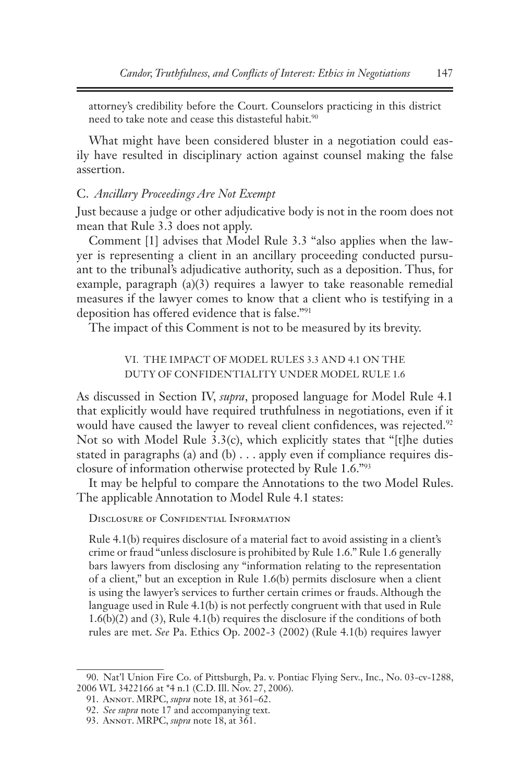attorney's credibility before the Court. Counselors practicing in this district need to take note and cease this distasteful habit.<sup>90</sup>

What might have been considered bluster in a negotiation could easily have resulted in disciplinary action against counsel making the false assertion.

#### C. *Ancillary Proceedings Are Not Exempt*

Just because a judge or other adjudicative body is not in the room does not mean that Rule 3.3 does not apply.

Comment [1] advises that Model Rule 3.3 "also applies when the lawyer is representing a client in an ancillary proceeding conducted pursuant to the tribunal's adjudicative authority, such as a deposition. Thus, for example, paragraph (a)(3) requires a lawyer to take reasonable remedial measures if the lawyer comes to know that a client who is testifying in a deposition has offered evidence that is false."91

The impact of this Comment is not to be measured by its brevity.

VI. THE IMPACT OF MODEL RULES 3.3 AND 4.1 ON THE DUTY OF CONFIDENTIALITY UNDER MODEL RULE 1.6

As discussed in Section IV, *supra*, proposed language for Model Rule 4.1 that explicitly would have required truthfulness in negotiations, even if it would have caused the lawyer to reveal client confidences, was rejected.<sup>92</sup> Not so with Model Rule 3.3(c), which explicitly states that "[t]he duties stated in paragraphs (a) and (b)  $\ldots$  apply even if compliance requires disclosure of information otherwise protected by Rule 1.6."93

It may be helpful to compare the Annotations to the two Model Rules. The applicable Annotation to Model Rule 4.1 states:

Disclosure of Confidential Information

Rule 4.1(b) requires disclosure of a material fact to avoid assisting in a client's crime or fraud "unless disclosure is prohibited by Rule 1.6." Rule 1.6 generally bars lawyers from disclosing any "information relating to the representation of a client," but an exception in Rule 1.6(b) permits disclosure when a client is using the lawyer's services to further certain crimes or frauds. Although the language used in Rule 4.1(b) is not perfectly congruent with that used in Rule 1.6(b)(2) and (3), Rule 4.1(b) requires the disclosure if the conditions of both rules are met. *See* Pa. Ethics Op. 2002-3 (2002) (Rule 4.1(b) requires lawyer

<sup>90.</sup> Nat'l Union Fire Co. of Pittsburgh, Pa. v. Pontiac Flying Serv., Inc., No. 03-cv-1288, 2006 WL 3422166 at \*4 n.1 (C.D. Ill. Nov. 27, 2006).

<sup>91.</sup> Annot. MRPC, *supra* note 18, at 361–62.

<sup>92.</sup> *See supra* note 17 and accompanying text.

<sup>93.</sup> ANNOT. MRPC, *supra* note 18, at 361.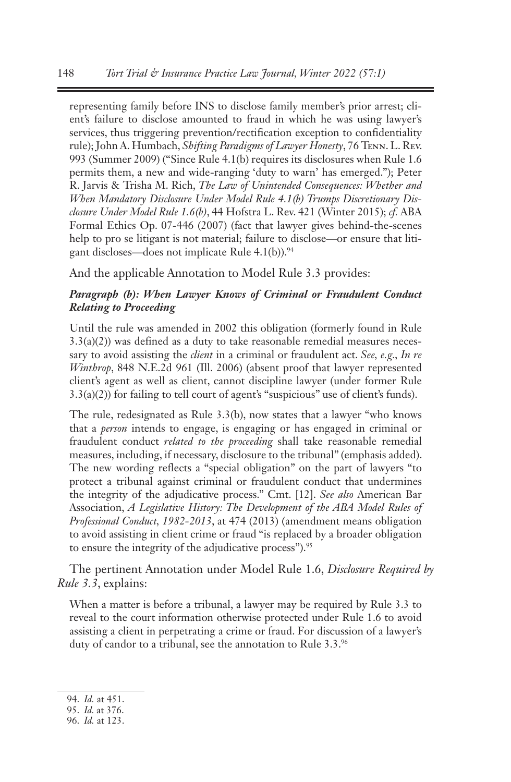representing family before INS to disclose family member's prior arrest; client's failure to disclose amounted to fraud in which he was using lawyer's services, thus triggering prevention/rectification exception to confidentiality rule); John A. Humbach, *Shifting Paradigms of Lawyer Honesty*, 76 Tenn. L. Rev. 993 (Summer 2009) ("Since Rule 4.1(b) requires its disclosures when Rule 1.6 permits them, a new and wide-ranging 'duty to warn' has emerged."); Peter R. Jarvis & Trisha M. Rich, *The Law of Unintended Consequences: Whether and When Mandatory Disclosure Under Model Rule 4.1(b) Trumps Discretionary Disclosure Under Model Rule 1.6(b)*, 44 Hofstra L. Rev. 421 (Winter 2015); *cf.* ABA Formal Ethics Op. 07-446 (2007) (fact that lawyer gives behind-the-scenes help to pro se litigant is not material; failure to disclose—or ensure that litigant discloses—does not implicate Rule 4.1(b)).<sup>94</sup>

And the applicable Annotation to Model Rule 3.3 provides:

### *Paragraph (b): When Lawyer Knows of Criminal or Fraudulent Conduct Relating to Proceeding*

Until the rule was amended in 2002 this obligation (formerly found in Rule  $3.3(a)(2)$ ) was defined as a duty to take reasonable remedial measures necessary to avoid assisting the *client* in a criminal or fraudulent act. *See, e.g., In re Winthrop*, 848 N.E.2d 961 (Ill. 2006) (absent proof that lawyer represented client's agent as well as client, cannot discipline lawyer (under former Rule 3.3(a)(2)) for failing to tell court of agent's "suspicious" use of client's funds).

The rule, redesignated as Rule 3.3(b), now states that a lawyer "who knows that a *person* intends to engage, is engaging or has engaged in criminal or fraudulent conduct *related to the proceeding* shall take reasonable remedial measures, including, if necessary, disclosure to the tribunal" (emphasis added). The new wording reflects a "special obligation" on the part of lawyers "to protect a tribunal against criminal or fraudulent conduct that undermines the integrity of the adjudicative process." Cmt. [12]. *See also* American Bar Association, *A Legislative History: The Development of the ABA Model Rules of Professional Conduct, 1982-2013*, at 474 (2013) (amendment means obligation to avoid assisting in client crime or fraud "is replaced by a broader obligation to ensure the integrity of the adjudicative process").<sup>95</sup>

The pertinent Annotation under Model Rule 1.6, *Disclosure Required by Rule 3.3*, explains:

When a matter is before a tribunal, a lawyer may be required by Rule 3.3 to reveal to the court information otherwise protected under Rule 1.6 to avoid assisting a client in perpetrating a crime or fraud. For discussion of a lawyer's duty of candor to a tribunal, see the annotation to Rule 3.3.96

<sup>94.</sup> *Id.* at 451.

<sup>95.</sup> *Id.* at 376.

<sup>96.</sup> *Id.* at 123.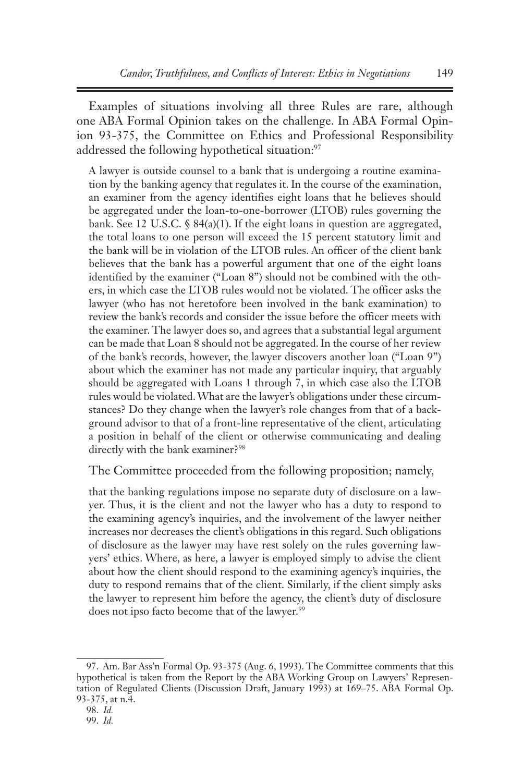Examples of situations involving all three Rules are rare, although one ABA Formal Opinion takes on the challenge. In ABA Formal Opinion 93-375, the Committee on Ethics and Professional Responsibility addressed the following hypothetical situation:<sup>97</sup>

A lawyer is outside counsel to a bank that is undergoing a routine examination by the banking agency that regulates it. In the course of the examination, an examiner from the agency identifies eight loans that he believes should be aggregated under the loan-to-one-borrower (LTOB) rules governing the bank. See 12 U.S.C. § 84(a)(1). If the eight loans in question are aggregated, the total loans to one person will exceed the 15 percent statutory limit and the bank will be in violation of the LTOB rules. An officer of the client bank believes that the bank has a powerful argument that one of the eight loans identified by the examiner ("Loan 8") should not be combined with the others, in which case the LTOB rules would not be violated. The officer asks the lawyer (who has not heretofore been involved in the bank examination) to review the bank's records and consider the issue before the officer meets with the examiner. The lawyer does so, and agrees that a substantial legal argument can be made that Loan 8 should not be aggregated. In the course of her review of the bank's records, however, the lawyer discovers another loan ("Loan 9") about which the examiner has not made any particular inquiry, that arguably should be aggregated with Loans 1 through 7, in which case also the LTOB rules would be violated. What are the lawyer's obligations under these circumstances? Do they change when the lawyer's role changes from that of a background advisor to that of a front-line representative of the client, articulating a position in behalf of the client or otherwise communicating and dealing directly with the bank examiner?<sup>98</sup>

The Committee proceeded from the following proposition; namely,

that the banking regulations impose no separate duty of disclosure on a lawyer. Thus, it is the client and not the lawyer who has a duty to respond to the examining agency's inquiries, and the involvement of the lawyer neither increases nor decreases the client's obligations in this regard. Such obligations of disclosure as the lawyer may have rest solely on the rules governing lawyers' ethics. Where, as here, a lawyer is employed simply to advise the client about how the client should respond to the examining agency's inquiries, the duty to respond remains that of the client. Similarly, if the client simply asks the lawyer to represent him before the agency, the client's duty of disclosure does not ipso facto become that of the lawyer.<sup>99</sup>

<sup>97.</sup> Am. Bar Ass'n Formal Op. 93-375 (Aug. 6, 1993). The Committee comments that this hypothetical is taken from the Report by the ABA Working Group on Lawyers' Representation of Regulated Clients (Discussion Draft, January 1993) at 169–75. ABA Formal Op. 93-375, at n.4.

<sup>98.</sup> *Id.*

<sup>99.</sup> *Id.*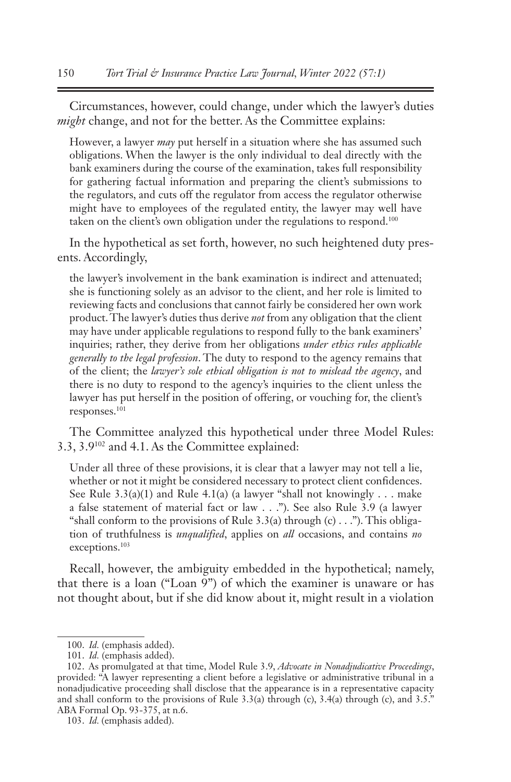Circumstances, however, could change, under which the lawyer's duties *might* change, and not for the better. As the Committee explains:

However, a lawyer *may* put herself in a situation where she has assumed such obligations. When the lawyer is the only individual to deal directly with the bank examiners during the course of the examination, takes full responsibility for gathering factual information and preparing the client's submissions to the regulators, and cuts off the regulator from access the regulator otherwise might have to employees of the regulated entity, the lawyer may well have taken on the client's own obligation under the regulations to respond.<sup>100</sup>

In the hypothetical as set forth, however, no such heightened duty presents. Accordingly,

the lawyer's involvement in the bank examination is indirect and attenuated; she is functioning solely as an advisor to the client, and her role is limited to reviewing facts and conclusions that cannot fairly be considered her own work product. The lawyer's duties thus derive *not* from any obligation that the client may have under applicable regulations to respond fully to the bank examiners' inquiries; rather, they derive from her obligations *under ethics rules applicable generally to the legal profession*. The duty to respond to the agency remains that of the client; the *lawyer's sole ethical obligation is not to mislead the agency*, and there is no duty to respond to the agency's inquiries to the client unless the lawyer has put herself in the position of offering, or vouching for, the client's responses.101

The Committee analyzed this hypothetical under three Model Rules: 3.3, 3.9102 and 4.1. As the Committee explained:

Under all three of these provisions, it is clear that a lawyer may not tell a lie, whether or not it might be considered necessary to protect client confidences. See Rule  $3.3(a)(1)$  and Rule  $4.1(a)$  (a lawyer "shall not knowingly . . . make a false statement of material fact or law . . ."). See also Rule 3.9 (a lawyer "shall conform to the provisions of Rule  $3.3(a)$  through (c) . . ."). This obligation of truthfulness is *unqualified*, applies on *all* occasions, and contains *no* exceptions.<sup>103</sup>

Recall, however, the ambiguity embedded in the hypothetical; namely, that there is a loan ("Loan 9") of which the examiner is unaware or has not thought about, but if she did know about it, might result in a violation

<sup>100.</sup> *Id.* (emphasis added).

<sup>101.</sup> *Id.* (emphasis added).

<sup>102.</sup> As promulgated at that time, Model Rule 3.9, *Advocate in Nonadjudicative Proceedings*, provided: "A lawyer representing a client before a legislative or administrative tribunal in a nonadjudicative proceeding shall disclose that the appearance is in a representative capacity and shall conform to the provisions of Rule 3.3(a) through (c), 3.4(a) through (c), and 3.5." ABA Formal Op. 93-375, at n.6.

<sup>103.</sup> *Id.* (emphasis added).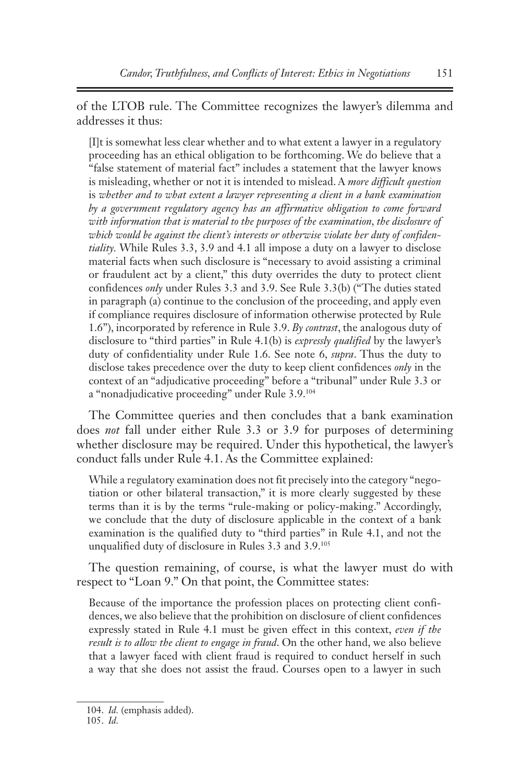of the LTOB rule. The Committee recognizes the lawyer's dilemma and addresses it thus:

[I]t is somewhat less clear whether and to what extent a lawyer in a regulatory proceeding has an ethical obligation to be forthcoming. We do believe that a "false statement of material fact" includes a statement that the lawyer knows is misleading, whether or not it is intended to mislead. A *more difficult question* is *whether and to what extent a lawyer representing a client in a bank examination by a government regulatory agency has an affirmative obligation to come forward with information that is material to the purposes of the examination, the disclosure of which would be against the client's interests or otherwise violate her duty of confidentiality.* While Rules 3.3, 3.9 and 4.1 all impose a duty on a lawyer to disclose material facts when such disclosure is "necessary to avoid assisting a criminal or fraudulent act by a client," this duty overrides the duty to protect client confidences *only* under Rules 3.3 and 3.9. See Rule 3.3(b) ("The duties stated in paragraph (a) continue to the conclusion of the proceeding, and apply even if compliance requires disclosure of information otherwise protected by Rule 1.6"), incorporated by reference in Rule 3.9. *By contrast*, the analogous duty of disclosure to "third parties" in Rule 4.1(b) is *expressly qualified* by the lawyer's duty of confidentiality under Rule 1.6. See note 6, *supra*. Thus the duty to disclose takes precedence over the duty to keep client confidences *only* in the context of an "adjudicative proceeding" before a "tribunal" under Rule 3.3 or a "nonadjudicative proceeding" under Rule 3.9.104

The Committee queries and then concludes that a bank examination does *not* fall under either Rule 3.3 or 3.9 for purposes of determining whether disclosure may be required. Under this hypothetical, the lawyer's conduct falls under Rule 4.1. As the Committee explained:

While a regulatory examination does not fit precisely into the category "negotiation or other bilateral transaction," it is more clearly suggested by these terms than it is by the terms "rule-making or policy-making." Accordingly, we conclude that the duty of disclosure applicable in the context of a bank examination is the qualified duty to "third parties" in Rule 4.1, and not the unqualified duty of disclosure in Rules 3.3 and 3.9.105

The question remaining, of course, is what the lawyer must do with respect to "Loan 9." On that point, the Committee states:

Because of the importance the profession places on protecting client confidences, we also believe that the prohibition on disclosure of client confidences expressly stated in Rule 4.1 must be given effect in this context, *even if the result is to allow the client to engage in fraud*. On the other hand, we also believe that a lawyer faced with client fraud is required to conduct herself in such a way that she does not assist the fraud. Courses open to a lawyer in such

<sup>104.</sup> *Id.* (emphasis added).

<sup>105.</sup> *Id.*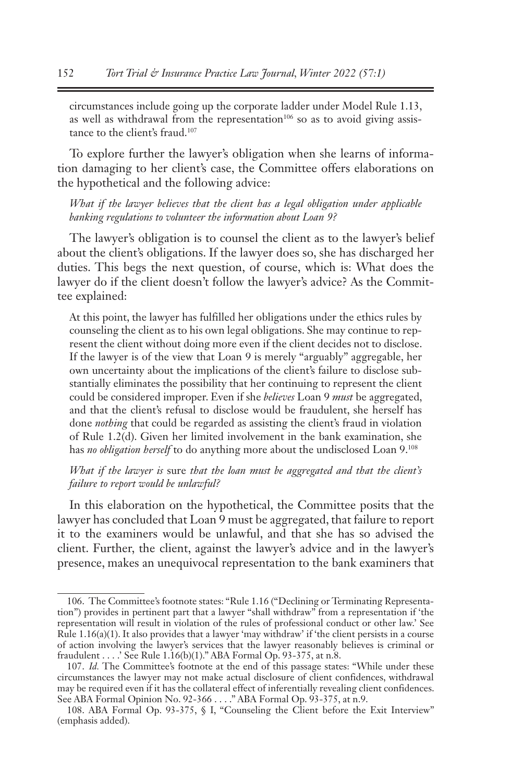circumstances include going up the corporate ladder under Model Rule 1.13, as well as withdrawal from the representation<sup>106</sup> so as to avoid giving assistance to the client's fraud.107

To explore further the lawyer's obligation when she learns of information damaging to her client's case, the Committee offers elaborations on the hypothetical and the following advice:

*What if the lawyer believes that the client has a legal obligation under applicable banking regulations to volunteer the information about Loan 9?*

The lawyer's obligation is to counsel the client as to the lawyer's belief about the client's obligations. If the lawyer does so, she has discharged her duties. This begs the next question, of course, which is: What does the lawyer do if the client doesn't follow the lawyer's advice? As the Committee explained:

At this point, the lawyer has fulfilled her obligations under the ethics rules by counseling the client as to his own legal obligations. She may continue to represent the client without doing more even if the client decides not to disclose. If the lawyer is of the view that Loan 9 is merely "arguably" aggregable, her own uncertainty about the implications of the client's failure to disclose substantially eliminates the possibility that her continuing to represent the client could be considered improper. Even if she *believes* Loan 9 *must* be aggregated, and that the client's refusal to disclose would be fraudulent, she herself has done *nothing* that could be regarded as assisting the client's fraud in violation of Rule 1.2(d). Given her limited involvement in the bank examination, she has *no obligation herself* to do anything more about the undisclosed Loan 9.108

*What if the lawyer is* sure *that the loan must be aggregated and that the client's failure to report would be unlawful?*

In this elaboration on the hypothetical, the Committee posits that the lawyer has concluded that Loan 9 must be aggregated, that failure to report it to the examiners would be unlawful, and that she has so advised the client. Further, the client, against the lawyer's advice and in the lawyer's presence, makes an unequivocal representation to the bank examiners that

<sup>106.</sup> The Committee's footnote states: "Rule 1.16 ("Declining or Terminating Representation") provides in pertinent part that a lawyer "shall withdraw" from a representation if 'the representation will result in violation of the rules of professional conduct or other law.' See Rule 1.16(a)(1). It also provides that a lawyer 'may withdraw' if 'the client persists in a course of action involving the lawyer's services that the lawyer reasonably believes is criminal or fraudulent . . . .' See Rule 1.16(b)(1)." ABA Formal Op. 93-375, at n.8.

<sup>107.</sup> *Id.* The Committee's footnote at the end of this passage states: "While under these circumstances the lawyer may not make actual disclosure of client confidences, withdrawal may be required even if it has the collateral effect of inferentially revealing client confidences. See ABA Formal Opinion No. 92-366 . . . ." ABA Formal Op. 93-375, at n.9.

<sup>108.</sup> ABA Formal Op. 93-375, § I, "Counseling the Client before the Exit Interview" (emphasis added).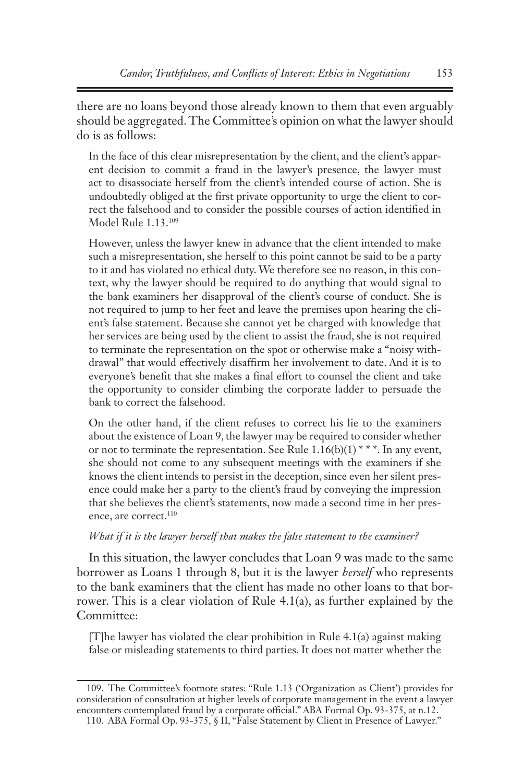there are no loans beyond those already known to them that even arguably should be aggregated. The Committee's opinion on what the lawyer should do is as follows:

In the face of this clear misrepresentation by the client, and the client's apparent decision to commit a fraud in the lawyer's presence, the lawyer must act to disassociate herself from the client's intended course of action. She is undoubtedly obliged at the first private opportunity to urge the client to correct the falsehood and to consider the possible courses of action identified in Model Rule 1.13.109

However, unless the lawyer knew in advance that the client intended to make such a misrepresentation, she herself to this point cannot be said to be a party to it and has violated no ethical duty. We therefore see no reason, in this context, why the lawyer should be required to do anything that would signal to the bank examiners her disapproval of the client's course of conduct. She is not required to jump to her feet and leave the premises upon hearing the client's false statement. Because she cannot yet be charged with knowledge that her services are being used by the client to assist the fraud, she is not required to terminate the representation on the spot or otherwise make a "noisy withdrawal" that would effectively disaffirm her involvement to date. And it is to everyone's benefit that she makes a final effort to counsel the client and take the opportunity to consider climbing the corporate ladder to persuade the bank to correct the falsehood.

On the other hand, if the client refuses to correct his lie to the examiners about the existence of Loan 9, the lawyer may be required to consider whether or not to terminate the representation. See Rule  $1.16(b)(1)$  \* \* \*. In any event, she should not come to any subsequent meetings with the examiners if she knows the client intends to persist in the deception, since even her silent presence could make her a party to the client's fraud by conveying the impression that she believes the client's statements, now made a second time in her presence, are correct.<sup>110</sup>

#### *What if it is the lawyer herself that makes the false statement to the examiner?*

In this situation, the lawyer concludes that Loan 9 was made to the same borrower as Loans 1 through 8, but it is the lawyer *herself* who represents to the bank examiners that the client has made no other loans to that borrower. This is a clear violation of Rule 4.1(a), as further explained by the Committee:

[T]he lawyer has violated the clear prohibition in Rule  $4.1(a)$  against making false or misleading statements to third parties. It does not matter whether the

<sup>109.</sup> The Committee's footnote states: "Rule 1.13 ('Organization as Client') provides for consideration of consultation at higher levels of corporate management in the event a lawyer encounters contemplated fraud by a corporate official." ABA Formal Op. 93-375, at n.12. 110. ABA Formal Op. 93-375, § II, "False Statement by Client in Presence of Lawyer."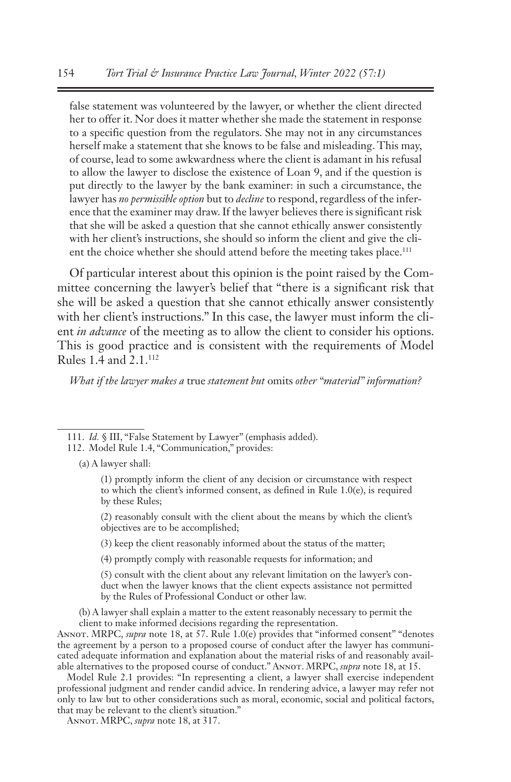false statement was volunteered by the lawyer, or whether the client directed her to offer it. Nor does it matter whether she made the statement in response to a specific question from the regulators. She may not in any circumstances herself make a statement that she knows to be false and misleading. This may, of course, lead to some awkwardness where the client is adamant in his refusal to allow the lawyer to disclose the existence of Loan 9, and if the question is put directly to the lawyer by the bank examiner: in such a circumstance, the lawyer has *no permissible option* but to *decline* to respond, regardless of the inference that the examiner may draw. If the lawyer believes there is significant risk that she will be asked a question that she cannot ethically answer consistently with her client's instructions, she should so inform the client and give the client the choice whether she should attend before the meeting takes place.<sup>111</sup>

Of particular interest about this opinion is the point raised by the Committee concerning the lawyer's belief that "there is a significant risk that she will be asked a question that she cannot ethically answer consistently with her client's instructions." In this case, the lawyer must inform the client *in advance* of the meeting as to allow the client to consider his options. This is good practice and is consistent with the requirements of Model Rules  $1.4$  and  $2.1$   $112$ 

*What if the lawyer makes a* true *statement but* omits *other "material" information?*

(2) reasonably consult with the client about the means by which the client's objectives are to be accomplished;

(3) keep the client reasonably informed about the status of the matter;

(4) promptly comply with reasonable requests for information; and

(5) consult with the client about any relevant limitation on the lawyer's conduct when the lawyer knows that the client expects assistance not permitted by the Rules of Professional Conduct or other law.

(b) A lawyer shall explain a matter to the extent reasonably necessary to permit the client to make informed decisions regarding the representation.

ANNOT. MRPC, *supra* note 18, at 57. Rule 1.0(e) provides that "informed consent" "denotes the agreement by a person to a proposed course of conduct after the lawyer has communicated adequate information and explanation about the material risks of and reasonably available alternatives to the proposed course of conduct." Annot. MRPC, *supra* note 18, at 15.

Model Rule 2.1 provides: "In representing a client, a lawyer shall exercise independent professional judgment and render candid advice. In rendering advice, a lawyer may refer not only to law but to other considerations such as moral, economic, social and political factors, that may be relevant to the client's situation."

Annot. MRPC, *supra* note 18, at 317.

<sup>111.</sup> *Id.* § III, "False Statement by Lawyer" (emphasis added).

<sup>112.</sup> Model Rule 1.4, "Communication," provides:

<sup>(</sup>a) A lawyer shall:

<sup>(1)</sup> promptly inform the client of any decision or circumstance with respect to which the client's informed consent, as defined in Rule 1.0(e), is required by these Rules;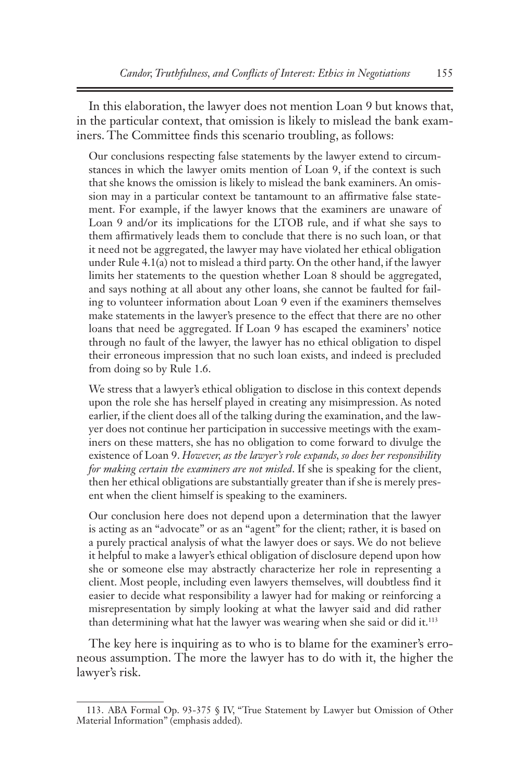In this elaboration, the lawyer does not mention Loan 9 but knows that, in the particular context, that omission is likely to mislead the bank examiners. The Committee finds this scenario troubling, as follows:

Our conclusions respecting false statements by the lawyer extend to circumstances in which the lawyer omits mention of Loan 9, if the context is such that she knows the omission is likely to mislead the bank examiners. An omission may in a particular context be tantamount to an affirmative false statement. For example, if the lawyer knows that the examiners are unaware of Loan 9 and/or its implications for the LTOB rule, and if what she says to them affirmatively leads them to conclude that there is no such loan, or that it need not be aggregated, the lawyer may have violated her ethical obligation under Rule 4.1(a) not to mislead a third party. On the other hand, if the lawyer limits her statements to the question whether Loan 8 should be aggregated, and says nothing at all about any other loans, she cannot be faulted for failing to volunteer information about Loan 9 even if the examiners themselves make statements in the lawyer's presence to the effect that there are no other loans that need be aggregated. If Loan 9 has escaped the examiners' notice through no fault of the lawyer, the lawyer has no ethical obligation to dispel their erroneous impression that no such loan exists, and indeed is precluded from doing so by Rule 1.6.

We stress that a lawyer's ethical obligation to disclose in this context depends upon the role she has herself played in creating any misimpression. As noted earlier, if the client does all of the talking during the examination, and the lawyer does not continue her participation in successive meetings with the examiners on these matters, she has no obligation to come forward to divulge the existence of Loan 9. *However, as the lawyer's role expands, so does her responsibility for making certain the examiners are not misled*. If she is speaking for the client, then her ethical obligations are substantially greater than if she is merely present when the client himself is speaking to the examiners.

Our conclusion here does not depend upon a determination that the lawyer is acting as an "advocate" or as an "agent" for the client; rather, it is based on a purely practical analysis of what the lawyer does or says. We do not believe it helpful to make a lawyer's ethical obligation of disclosure depend upon how she or someone else may abstractly characterize her role in representing a client. Most people, including even lawyers themselves, will doubtless find it easier to decide what responsibility a lawyer had for making or reinforcing a misrepresentation by simply looking at what the lawyer said and did rather than determining what hat the lawyer was wearing when she said or did it.<sup>113</sup>

The key here is inquiring as to who is to blame for the examiner's erroneous assumption. The more the lawyer has to do with it, the higher the lawyer's risk.

<sup>113.</sup> ABA Formal Op. 93-375 § IV, "True Statement by Lawyer but Omission of Other Material Information" (emphasis added).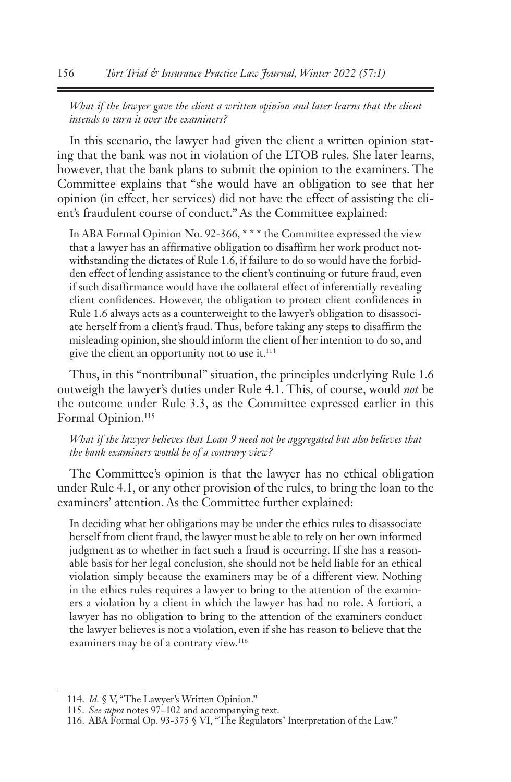*What if the lawyer gave the client a written opinion and later learns that the client intends to turn it over the examiners?*

In this scenario, the lawyer had given the client a written opinion stating that the bank was not in violation of the LTOB rules. She later learns, however, that the bank plans to submit the opinion to the examiners. The Committee explains that "she would have an obligation to see that her opinion (in effect, her services) did not have the effect of assisting the client's fraudulent course of conduct." As the Committee explained:

In ABA Formal Opinion No. 92-366, \* \* \* the Committee expressed the view that a lawyer has an affirmative obligation to disaffirm her work product notwithstanding the dictates of Rule 1.6, if failure to do so would have the forbidden effect of lending assistance to the client's continuing or future fraud, even if such disaffirmance would have the collateral effect of inferentially revealing client confidences. However, the obligation to protect client confidences in Rule 1.6 always acts as a counterweight to the lawyer's obligation to disassociate herself from a client's fraud. Thus, before taking any steps to disaffirm the misleading opinion, she should inform the client of her intention to do so, and give the client an opportunity not to use it.<sup>114</sup>

Thus, in this "nontribunal" situation, the principles underlying Rule 1.6 outweigh the lawyer's duties under Rule 4.1. This, of course, would *not* be the outcome under Rule 3.3, as the Committee expressed earlier in this Formal Opinion.<sup>115</sup>

#### *What if the lawyer believes that Loan 9 need not be aggregated but also believes that the bank examiners would be of a contrary view?*

The Committee's opinion is that the lawyer has no ethical obligation under Rule 4.1, or any other provision of the rules, to bring the loan to the examiners' attention. As the Committee further explained:

In deciding what her obligations may be under the ethics rules to disassociate herself from client fraud, the lawyer must be able to rely on her own informed judgment as to whether in fact such a fraud is occurring. If she has a reasonable basis for her legal conclusion, she should not be held liable for an ethical violation simply because the examiners may be of a different view. Nothing in the ethics rules requires a lawyer to bring to the attention of the examiners a violation by a client in which the lawyer has had no role. A fortiori, a lawyer has no obligation to bring to the attention of the examiners conduct the lawyer believes is not a violation, even if she has reason to believe that the examiners may be of a contrary view.<sup>116</sup>

<sup>114.</sup> *Id.* § V, "The Lawyer's Written Opinion."

<sup>115.</sup> *See supra* notes 97–102 and accompanying text.

<sup>116.</sup> ABA Formal Op. 93-375 § VI, "The Regulators' Interpretation of the Law."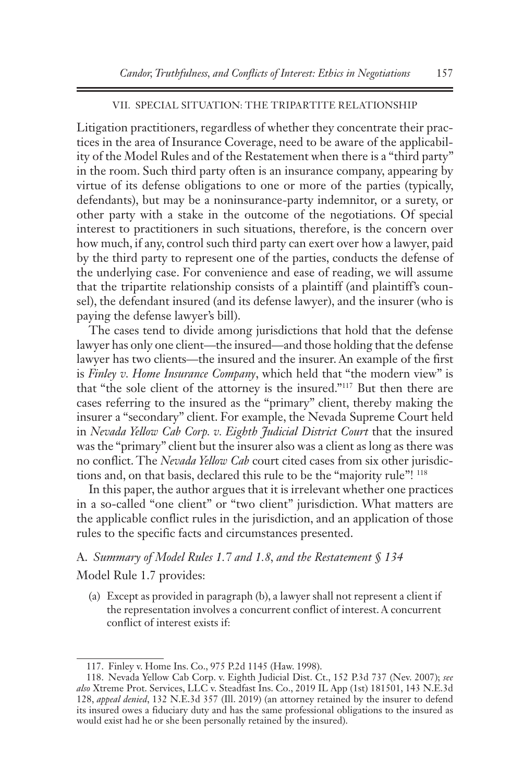#### VII. SPECIAL SITUATION: THE TRIPARTITE RELATIONSHIP

Litigation practitioners, regardless of whether they concentrate their practices in the area of Insurance Coverage, need to be aware of the applicability of the Model Rules and of the Restatement when there is a "third party" in the room. Such third party often is an insurance company, appearing by virtue of its defense obligations to one or more of the parties (typically, defendants), but may be a noninsurance-party indemnitor, or a surety, or other party with a stake in the outcome of the negotiations. Of special interest to practitioners in such situations, therefore, is the concern over how much, if any, control such third party can exert over how a lawyer, paid by the third party to represent one of the parties, conducts the defense of the underlying case. For convenience and ease of reading, we will assume that the tripartite relationship consists of a plaintiff (and plaintiff's counsel), the defendant insured (and its defense lawyer), and the insurer (who is paying the defense lawyer's bill).

The cases tend to divide among jurisdictions that hold that the defense lawyer has only one client—the insured—and those holding that the defense lawyer has two clients—the insured and the insurer. An example of the first is *Finley v. Home Insurance Company*, which held that "the modern view" is that "the sole client of the attorney is the insured."117 But then there are cases referring to the insured as the "primary" client, thereby making the insurer a "secondary" client. For example, the Nevada Supreme Court held in *Nevada Yellow Cab Corp. v. Eighth Judicial District Court* that the insured was the "primary" client but the insurer also was a client as long as there was no conflict. The *Nevada Yellow Cab* court cited cases from six other jurisdictions and, on that basis, declared this rule to be the "majority rule"! 118

In this paper, the author argues that it is irrelevant whether one practices in a so-called "one client" or "two client" jurisdiction. What matters are the applicable conflict rules in the jurisdiction, and an application of those rules to the specific facts and circumstances presented.

# A. *Summary of Model Rules 1.7 and 1.8, and the Restatement § 134* Model Rule 1.7 provides:

(a) Except as provided in paragraph (b), a lawyer shall not represent a client if the representation involves a concurrent conflict of interest. A concurrent conflict of interest exists if:

<sup>117.</sup> Finley v. Home Ins. Co., 975 P.2d 1145 (Haw. 1998).

<sup>118.</sup> Nevada Yellow Cab Corp. v. Eighth Judicial Dist. Ct., 152 P.3d 737 (Nev. 2007); *see also* Xtreme Prot. Services, LLC v. Steadfast Ins. Co., 2019 IL App (1st) 181501, 143 N.E.3d 128, *appeal denied*, 132 N.E.3d 357 (Ill. 2019) (an attorney retained by the insurer to defend its insured owes a fiduciary duty and has the same professional obligations to the insured as would exist had he or she been personally retained by the insured).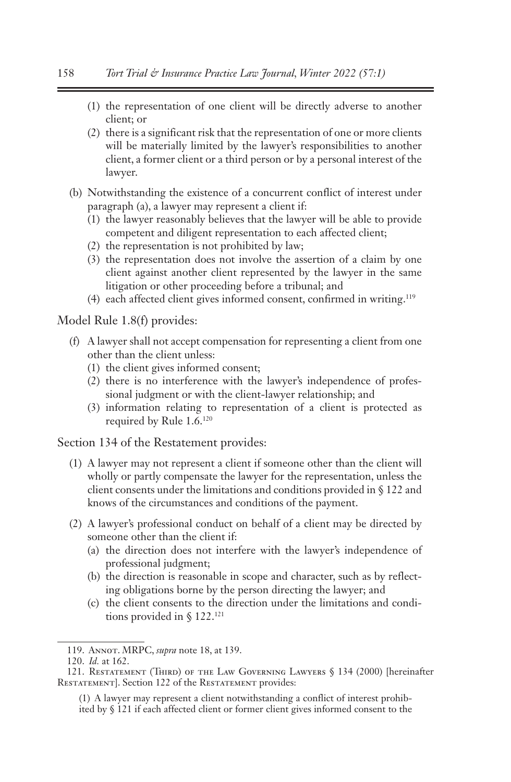- (1) the representation of one client will be directly adverse to another client; or
- (2) there is a significant risk that the representation of one or more clients will be materially limited by the lawyer's responsibilities to another client, a former client or a third person or by a personal interest of the lawyer.
- (b) Notwithstanding the existence of a concurrent conflict of interest under paragraph (a), a lawyer may represent a client if:
	- (1) the lawyer reasonably believes that the lawyer will be able to provide competent and diligent representation to each affected client;
	- (2) the representation is not prohibited by law;
	- (3) the representation does not involve the assertion of a claim by one client against another client represented by the lawyer in the same litigation or other proceeding before a tribunal; and
	- (4) each affected client gives informed consent, confirmed in writing.119

Model Rule 1.8(f) provides:

- (f) A lawyer shall not accept compensation for representing a client from one other than the client unless:
	- (1) the client gives informed consent;
	- (2) there is no interference with the lawyer's independence of professional judgment or with the client-lawyer relationship; and
	- (3) information relating to representation of a client is protected as required by Rule 1.6.120

Section 134 of the Restatement provides:

- (1) A lawyer may not represent a client if someone other than the client will wholly or partly compensate the lawyer for the representation, unless the client consents under the limitations and conditions provided in § 122 and knows of the circumstances and conditions of the payment.
- (2) A lawyer's professional conduct on behalf of a client may be directed by someone other than the client if:
	- (a) the direction does not interfere with the lawyer's independence of professional judgment;
	- (b) the direction is reasonable in scope and character, such as by reflecting obligations borne by the person directing the lawyer; and
	- (c) the client consents to the direction under the limitations and conditions provided in § 122.121

<sup>119.</sup> Annot. MRPC, *supra* note 18, at 139.

<sup>120.</sup> *Id.* at 162.

<sup>121.</sup> Restatement (Third) of the Law Governing Lawyers § 134 (2000) [hereinafter RESTATEMENT]. Section 122 of the RESTATEMENT provides:

<sup>(1)</sup> A lawyer may represent a client notwithstanding a conflict of interest prohibited by § 121 if each affected client or former client gives informed consent to the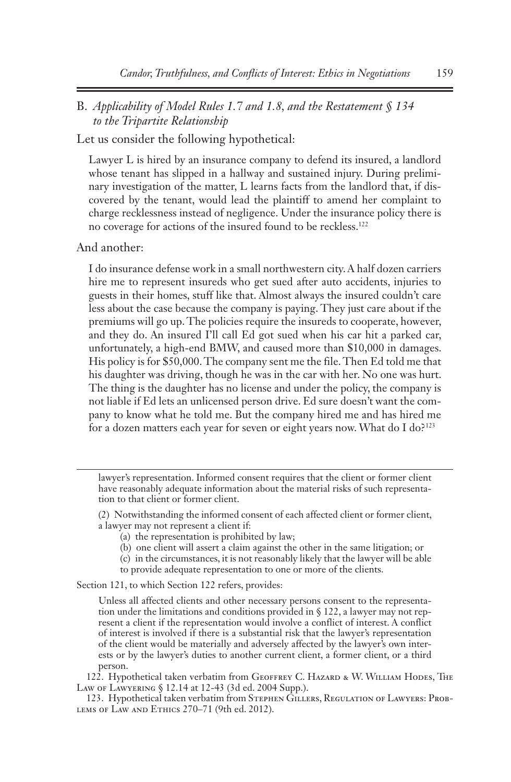### B. *Applicability of Model Rules 1.7 and 1.8, and the Restatement § 134 to the Tripartite Relationship*

Let us consider the following hypothetical:

Lawyer L is hired by an insurance company to defend its insured, a landlord whose tenant has slipped in a hallway and sustained injury. During preliminary investigation of the matter, L learns facts from the landlord that, if discovered by the tenant, would lead the plaintiff to amend her complaint to charge recklessness instead of negligence. Under the insurance policy there is no coverage for actions of the insured found to be reckless.122

#### And another:

I do insurance defense work in a small northwestern city. A half dozen carriers hire me to represent insureds who get sued after auto accidents, injuries to guests in their homes, stuff like that. Almost always the insured couldn't care less about the case because the company is paying. They just care about if the premiums will go up. The policies require the insureds to cooperate, however, and they do. An insured I'll call Ed got sued when his car hit a parked car, unfortunately, a high-end BMW, and caused more than \$10,000 in damages. His policy is for \$50,000. The company sent me the file. Then Ed told me that his daughter was driving, though he was in the car with her. No one was hurt. The thing is the daughter has no license and under the policy, the company is not liable if Ed lets an unlicensed person drive. Ed sure doesn't want the company to know what he told me. But the company hired me and has hired me for a dozen matters each year for seven or eight years now. What do I do?<sup>123</sup>

lawyer's representation. Informed consent requires that the client or former client have reasonably adequate information about the material risks of such representation to that client or former client.

(2) Notwithstanding the informed consent of each affected client or former client, a lawyer may not represent a client if:

- (a) the representation is prohibited by law;
- (b) one client will assert a claim against the other in the same litigation; or
- (c) in the circumstances, it is not reasonably likely that the lawyer will be able
- to provide adequate representation to one or more of the clients.

Section 121, to which Section 122 refers, provides:

Unless all affected clients and other necessary persons consent to the representation under the limitations and conditions provided in § 122, a lawyer may not represent a client if the representation would involve a conflict of interest. A conflict of interest is involved if there is a substantial risk that the lawyer's representation of the client would be materially and adversely affected by the lawyer's own interests or by the lawyer's duties to another current client, a former client, or a third person.

122. Hypothetical taken verbatim from GEOFFREY C. HAZARD & W. WILLIAM HODES, THE LAW OF LAWYERING § 12.14 at 12-43 (3d ed. 2004 Supp.).

123. Hypothetical taken verbatim from STEPHEN GILLERS, REGULATION OF LAWYERS: PROBlems of Law and Ethics 270–71 (9th ed. 2012).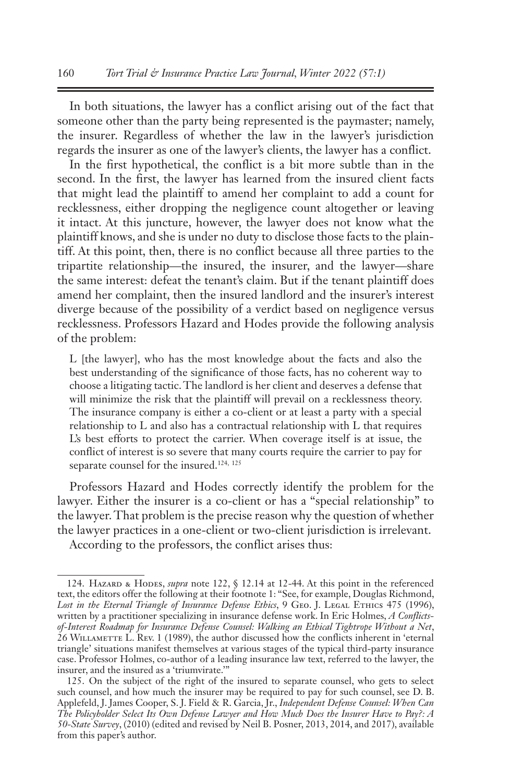In both situations, the lawyer has a conflict arising out of the fact that someone other than the party being represented is the paymaster; namely, the insurer. Regardless of whether the law in the lawyer's jurisdiction regards the insurer as one of the lawyer's clients, the lawyer has a conflict.

In the first hypothetical, the conflict is a bit more subtle than in the second. In the first, the lawyer has learned from the insured client facts that might lead the plaintiff to amend her complaint to add a count for recklessness, either dropping the negligence count altogether or leaving it intact. At this juncture, however, the lawyer does not know what the plaintiff knows, and she is under no duty to disclose those facts to the plaintiff. At this point, then, there is no conflict because all three parties to the tripartite relationship—the insured, the insurer, and the lawyer—share the same interest: defeat the tenant's claim. But if the tenant plaintiff does amend her complaint, then the insured landlord and the insurer's interest diverge because of the possibility of a verdict based on negligence versus recklessness. Professors Hazard and Hodes provide the following analysis of the problem:

L [the lawyer], who has the most knowledge about the facts and also the best understanding of the significance of those facts, has no coherent way to choose a litigating tactic. The landlord is her client and deserves a defense that will minimize the risk that the plaintiff will prevail on a recklessness theory. The insurance company is either a co-client or at least a party with a special relationship to L and also has a contractual relationship with L that requires L's best efforts to protect the carrier. When coverage itself is at issue, the conflict of interest is so severe that many courts require the carrier to pay for separate counsel for the insured.<sup>124, 125</sup>

Professors Hazard and Hodes correctly identify the problem for the lawyer. Either the insurer is a co-client or has a "special relationship" to the lawyer. That problem is the precise reason why the question of whether the lawyer practices in a one-client or two-client jurisdiction is irrelevant.

According to the professors, the conflict arises thus:

<sup>124.</sup> Hazard & Hodes, *supra* note 122, § 12.14 at 12-44. At this point in the referenced text, the editors offer the following at their footnote 1: "See, for example, Douglas Richmond, Lost in the Eternal Triangle of Insurance Defense Ethics, 9 GEO. J. LEGAL ETHICS 475 (1996), written by a practitioner specializing in insurance defense work. In Eric Holmes, *A Conflictsof-Interest Roadmap for Insurance Defense Counsel: Walking an Ethical Tightrope Without a Net*,  $26$  WILLAMETTE L. REV. 1 (1989), the author discussed how the conflicts inherent in 'eternal triangle' situations manifest themselves at various stages of the typical third-party insurance case. Professor Holmes, co-author of a leading insurance law text, referred to the lawyer, the insurer, and the insured as a 'triumvirate.'"

<sup>125.</sup> On the subject of the right of the insured to separate counsel, who gets to select such counsel, and how much the insurer may be required to pay for such counsel, see D. B. Applefeld, J. James Cooper, S. J. Field & R. Garcia, Jr., *Independent Defense Counsel: When Can The Policyholder Select Its Own Defense Lawyer and How Much Does the Insurer Have to Pay?: A 50-State Survey*, (2010) (edited and revised by Neil B. Posner, 2013, 2014, and 2017), available from this paper's author.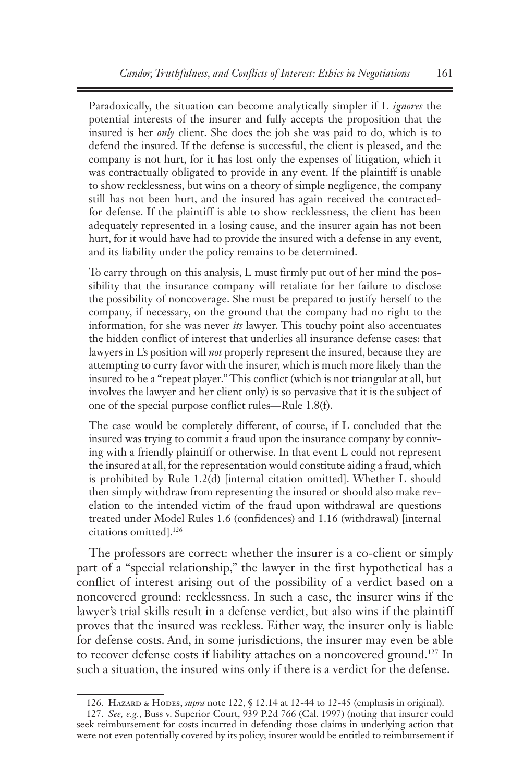Paradoxically, the situation can become analytically simpler if L *ignores* the potential interests of the insurer and fully accepts the proposition that the insured is her *only* client. She does the job she was paid to do, which is to defend the insured. If the defense is successful, the client is pleased, and the company is not hurt, for it has lost only the expenses of litigation, which it was contractually obligated to provide in any event. If the plaintiff is unable to show recklessness, but wins on a theory of simple negligence, the company still has not been hurt, and the insured has again received the contractedfor defense. If the plaintiff is able to show recklessness, the client has been adequately represented in a losing cause, and the insurer again has not been hurt, for it would have had to provide the insured with a defense in any event, and its liability under the policy remains to be determined.

To carry through on this analysis, L must firmly put out of her mind the possibility that the insurance company will retaliate for her failure to disclose the possibility of noncoverage. She must be prepared to justify herself to the company, if necessary, on the ground that the company had no right to the information, for she was never *its* lawyer. This touchy point also accentuates the hidden conflict of interest that underlies all insurance defense cases: that lawyers in L's position will *not* properly represent the insured, because they are attempting to curry favor with the insurer, which is much more likely than the insured to be a "repeat player." This conflict (which is not triangular at all, but involves the lawyer and her client only) is so pervasive that it is the subject of one of the special purpose conflict rules—Rule 1.8(f).

The case would be completely different, of course, if L concluded that the insured was trying to commit a fraud upon the insurance company by conniving with a friendly plaintiff or otherwise. In that event L could not represent the insured at all, for the representation would constitute aiding a fraud, which is prohibited by Rule 1.2(d) [internal citation omitted]. Whether L should then simply withdraw from representing the insured or should also make revelation to the intended victim of the fraud upon withdrawal are questions treated under Model Rules 1.6 (confidences) and 1.16 (withdrawal) [internal citations omitted].126

The professors are correct: whether the insurer is a co-client or simply part of a "special relationship," the lawyer in the first hypothetical has a conflict of interest arising out of the possibility of a verdict based on a noncovered ground: recklessness. In such a case, the insurer wins if the lawyer's trial skills result in a defense verdict, but also wins if the plaintiff proves that the insured was reckless. Either way, the insurer only is liable for defense costs. And, in some jurisdictions, the insurer may even be able to recover defense costs if liability attaches on a noncovered ground.127 In such a situation, the insured wins only if there is a verdict for the defense.

<sup>126.</sup> Hazard & Hodes, *supra* note 122, § 12.14 at 12-44 to 12-45 (emphasis in original).

<sup>127.</sup> *See, e.g.*, Buss v. Superior Court, 939 P.2d 766 (Cal. 1997) (noting that insurer could seek reimbursement for costs incurred in defending those claims in underlying action that were not even potentially covered by its policy; insurer would be entitled to reimbursement if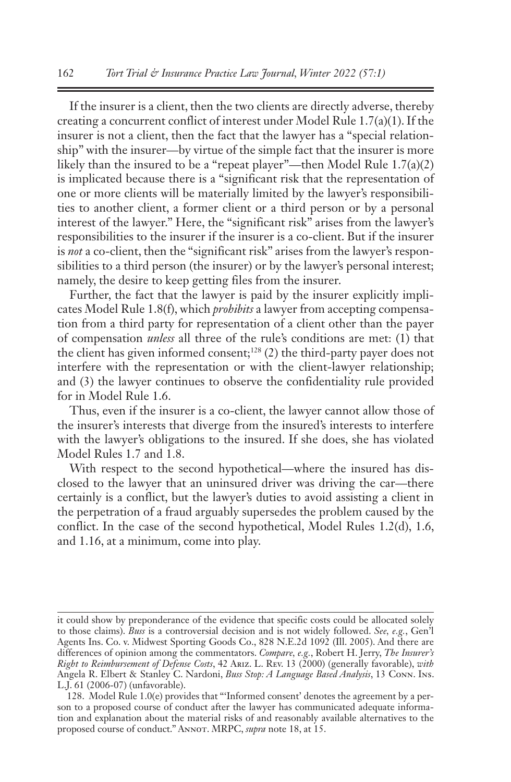If the insurer is a client, then the two clients are directly adverse, thereby creating a concurrent conflict of interest under Model Rule 1.7(a)(1). If the insurer is not a client, then the fact that the lawyer has a "special relationship" with the insurer—by virtue of the simple fact that the insurer is more likely than the insured to be a "repeat player"—then Model Rule 1.7(a)(2) is implicated because there is a "significant risk that the representation of one or more clients will be materially limited by the lawyer's responsibilities to another client, a former client or a third person or by a personal interest of the lawyer." Here, the "significant risk" arises from the lawyer's responsibilities to the insurer if the insurer is a co-client. But if the insurer is *not* a co-client, then the "significant risk" arises from the lawyer's responsibilities to a third person (the insurer) or by the lawyer's personal interest; namely, the desire to keep getting files from the insurer.

Further, the fact that the lawyer is paid by the insurer explicitly implicates Model Rule 1.8(f), which *prohibits* a lawyer from accepting compensation from a third party for representation of a client other than the payer of compensation *unless* all three of the rule's conditions are met: (1) that the client has given informed consent;<sup>128</sup> (2) the third-party payer does not interfere with the representation or with the client-lawyer relationship; and (3) the lawyer continues to observe the confidentiality rule provided for in Model Rule 1.6.

Thus, even if the insurer is a co-client, the lawyer cannot allow those of the insurer's interests that diverge from the insured's interests to interfere with the lawyer's obligations to the insured. If she does, she has violated Model Rules 1.7 and 1.8.

With respect to the second hypothetical—where the insured has disclosed to the lawyer that an uninsured driver was driving the car—there certainly is a conflict, but the lawyer's duties to avoid assisting a client in the perpetration of a fraud arguably supersedes the problem caused by the conflict. In the case of the second hypothetical, Model Rules 1.2(d), 1.6, and 1.16, at a minimum, come into play.

it could show by preponderance of the evidence that specific costs could be allocated solely to those claims). *Buss* is a controversial decision and is not widely followed. *See, e.g.*, Gen'l Agents Ins. Co. v. Midwest Sporting Goods Co., 828 N.E.2d 1092 (Ill. 2005). And there are differences of opinion among the commentators. *Compare, e.g.*, Robert H. Jerry, *The Insurer's Right to Reimbursement of Defense Costs*, 42 Ariz. L. Rev. 13 (2000) (generally favorable), *with* Angela R. Elbert & Stanley C. Nardoni, *Buss Stop: A Language Based Analysis*, 13 Conn. Ins. L.J. 61 (2006-07) (unfavorable).

<sup>128.</sup> Model Rule 1.0(e) provides that "'Informed consent' denotes the agreement by a person to a proposed course of conduct after the lawyer has communicated adequate information and explanation about the material risks of and reasonably available alternatives to the proposed course of conduct." ANNOT. MRPC, *supra* note 18, at 15.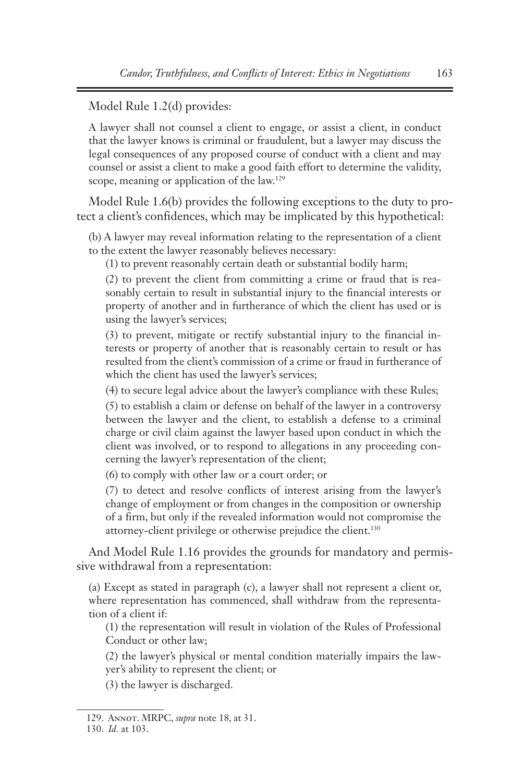Model Rule 1.2(d) provides:

A lawyer shall not counsel a client to engage, or assist a client, in conduct that the lawyer knows is criminal or fraudulent, but a lawyer may discuss the legal consequences of any proposed course of conduct with a client and may counsel or assist a client to make a good faith effort to determine the validity, scope, meaning or application of the law.<sup>129</sup>

Model Rule 1.6(b) provides the following exceptions to the duty to protect a client's confidences, which may be implicated by this hypothetical:

(b) A lawyer may reveal information relating to the representation of a client to the extent the lawyer reasonably believes necessary:

(1) to prevent reasonably certain death or substantial bodily harm;

(2) to prevent the client from committing a crime or fraud that is reasonably certain to result in substantial injury to the financial interests or property of another and in furtherance of which the client has used or is using the lawyer's services;

(3) to prevent, mitigate or rectify substantial injury to the financial interests or property of another that is reasonably certain to result or has resulted from the client's commission of a crime or fraud in furtherance of which the client has used the lawyer's services;

(4) to secure legal advice about the lawyer's compliance with these Rules;

(5) to establish a claim or defense on behalf of the lawyer in a controversy between the lawyer and the client, to establish a defense to a criminal charge or civil claim against the lawyer based upon conduct in which the client was involved, or to respond to allegations in any proceeding concerning the lawyer's representation of the client;

(6) to comply with other law or a court order; or

(7) to detect and resolve conflicts of interest arising from the lawyer's change of employment or from changes in the composition or ownership of a firm, but only if the revealed information would not compromise the attorney-client privilege or otherwise prejudice the client.130

And Model Rule 1.16 provides the grounds for mandatory and permissive withdrawal from a representation:

(a) Except as stated in paragraph (c), a lawyer shall not represent a client or, where representation has commenced, shall withdraw from the representation of a client if:

(1) the representation will result in violation of the Rules of Professional Conduct or other law;

(2) the lawyer's physical or mental condition materially impairs the lawyer's ability to represent the client; or

(3) the lawyer is discharged.

<sup>129.</sup> Annot. MRPC, *supra* note 18, at 31.

<sup>130.</sup> *Id.* at 103.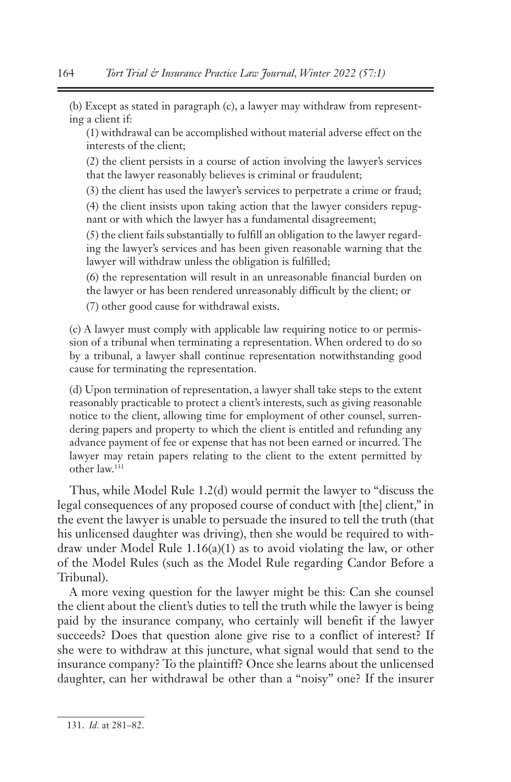(b) Except as stated in paragraph (c), a lawyer may withdraw from representing a client if:

(1) withdrawal can be accomplished without material adverse effect on the interests of the client;

(2) the client persists in a course of action involving the lawyer's services that the lawyer reasonably believes is criminal or fraudulent;

(3) the client has used the lawyer's services to perpetrate a crime or fraud;

(4) the client insists upon taking action that the lawyer considers repugnant or with which the lawyer has a fundamental disagreement;

(5) the client fails substantially to fulfill an obligation to the lawyer regarding the lawyer's services and has been given reasonable warning that the lawyer will withdraw unless the obligation is fulfilled;

(6) the representation will result in an unreasonable financial burden on the lawyer or has been rendered unreasonably difficult by the client; or

(7) other good cause for withdrawal exists.

(c) A lawyer must comply with applicable law requiring notice to or permission of a tribunal when terminating a representation. When ordered to do so by a tribunal, a lawyer shall continue representation notwithstanding good cause for terminating the representation.

(d) Upon termination of representation, a lawyer shall take steps to the extent reasonably practicable to protect a client's interests, such as giving reasonable notice to the client, allowing time for employment of other counsel, surrendering papers and property to which the client is entitled and refunding any advance payment of fee or expense that has not been earned or incurred. The lawyer may retain papers relating to the client to the extent permitted by other law.131

Thus, while Model Rule 1.2(d) would permit the lawyer to "discuss the legal consequences of any proposed course of conduct with [the] client," in the event the lawyer is unable to persuade the insured to tell the truth (that his unlicensed daughter was driving), then she would be required to withdraw under Model Rule 1.16(a)(1) as to avoid violating the law, or other of the Model Rules (such as the Model Rule regarding Candor Before a Tribunal).

A more vexing question for the lawyer might be this: Can she counsel the client about the client's duties to tell the truth while the lawyer is being paid by the insurance company, who certainly will benefit if the lawyer succeeds? Does that question alone give rise to a conflict of interest? If she were to withdraw at this juncture, what signal would that send to the insurance company? To the plaintiff? Once she learns about the unlicensed daughter, can her withdrawal be other than a "noisy" one? If the insurer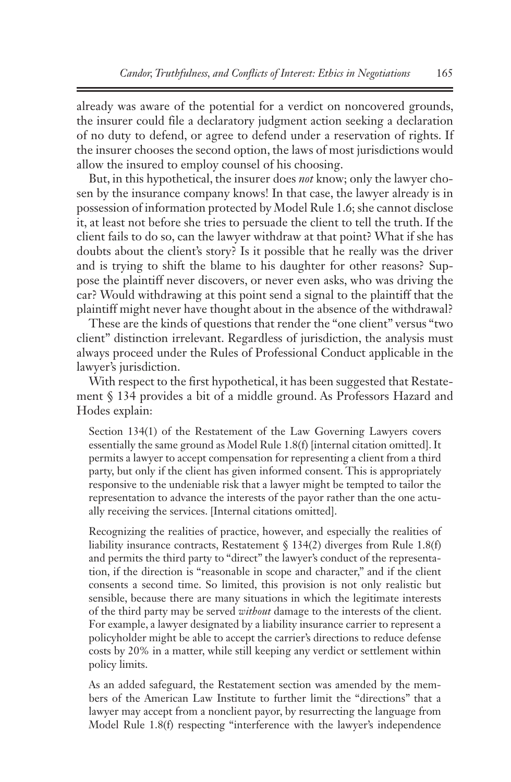already was aware of the potential for a verdict on noncovered grounds, the insurer could file a declaratory judgment action seeking a declaration of no duty to defend, or agree to defend under a reservation of rights. If the insurer chooses the second option, the laws of most jurisdictions would allow the insured to employ counsel of his choosing.

But, in this hypothetical, the insurer does *not* know; only the lawyer chosen by the insurance company knows! In that case, the lawyer already is in possession of information protected by Model Rule 1.6; she cannot disclose it, at least not before she tries to persuade the client to tell the truth. If the client fails to do so, can the lawyer withdraw at that point? What if she has doubts about the client's story? Is it possible that he really was the driver and is trying to shift the blame to his daughter for other reasons? Suppose the plaintiff never discovers, or never even asks, who was driving the car? Would withdrawing at this point send a signal to the plaintiff that the plaintiff might never have thought about in the absence of the withdrawal?

These are the kinds of questions that render the "one client" versus "two client" distinction irrelevant. Regardless of jurisdiction, the analysis must always proceed under the Rules of Professional Conduct applicable in the lawyer's jurisdiction.

With respect to the first hypothetical, it has been suggested that Restatement § 134 provides a bit of a middle ground. As Professors Hazard and Hodes explain:

Section 134(1) of the Restatement of the Law Governing Lawyers covers essentially the same ground as Model Rule 1.8(f) [internal citation omitted]. It permits a lawyer to accept compensation for representing a client from a third party, but only if the client has given informed consent. This is appropriately responsive to the undeniable risk that a lawyer might be tempted to tailor the representation to advance the interests of the payor rather than the one actually receiving the services. [Internal citations omitted].

Recognizing the realities of practice, however, and especially the realities of liability insurance contracts, Restatement § 134(2) diverges from Rule 1.8(f) and permits the third party to "direct" the lawyer's conduct of the representation, if the direction is "reasonable in scope and character," and if the client consents a second time. So limited, this provision is not only realistic but sensible, because there are many situations in which the legitimate interests of the third party may be served *without* damage to the interests of the client. For example, a lawyer designated by a liability insurance carrier to represent a policyholder might be able to accept the carrier's directions to reduce defense costs by 20% in a matter, while still keeping any verdict or settlement within policy limits.

As an added safeguard, the Restatement section was amended by the members of the American Law Institute to further limit the "directions" that a lawyer may accept from a nonclient payor, by resurrecting the language from Model Rule 1.8(f) respecting "interference with the lawyer's independence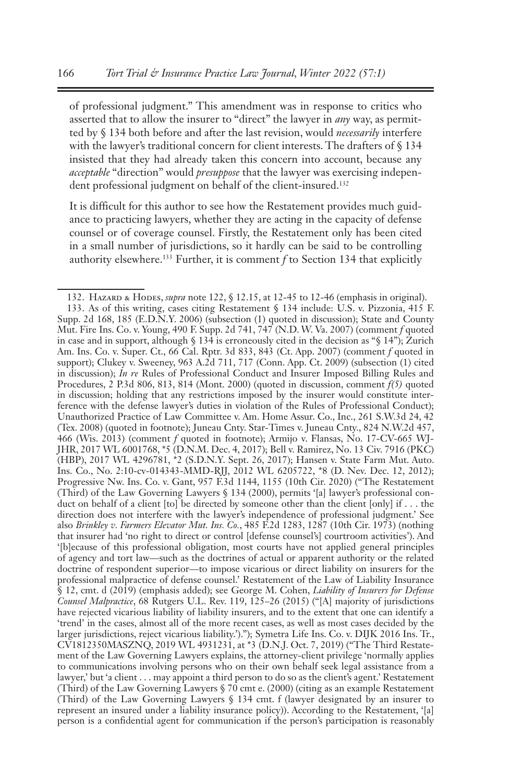of professional judgment." This amendment was in response to critics who asserted that to allow the insurer to "direct" the lawyer in *any* way, as permitted by § 134 both before and after the last revision, would *necessarily* interfere with the lawyer's traditional concern for client interests. The drafters of § 134 insisted that they had already taken this concern into account, because any *acceptable* "direction" would *presuppose* that the lawyer was exercising independent professional judgment on behalf of the client-insured.<sup>132</sup>

It is difficult for this author to see how the Restatement provides much guidance to practicing lawyers, whether they are acting in the capacity of defense counsel or of coverage counsel. Firstly, the Restatement only has been cited in a small number of jurisdictions, so it hardly can be said to be controlling authority elsewhere.<sup>133</sup> Further, it is comment  $f$  to Section 134 that explicitly

<sup>132.</sup> Hazard & Hodes, *supra* note 122, § 12.15, at 12-45 to 12-46 (emphasis in original). 133. As of this writing, cases citing Restatement § 134 include: U.S. v. Pizzonia, 415 F. Supp. 2d 168, 185 (E.D.N.Y. 2006) (subsection (1) quoted in discussion); State and County Mut. Fire Ins. Co. v. Young, 490 F. Supp. 2d 741, 747 (N.D. W. Va. 2007) (comment *f* quoted in case and in support, although  $\S$  134 is erroneously cited in the decision as " $\S$  14"); Zurich Am. Ins. Co. v. Super. Ct., 66 Cal. Rptr. 3d 833, 843 (Ct. App. 2007) (comment *f* quoted in support); Clukey v. Sweeney, 963 A.2d 711, 717 (Conn. App. Ct. 2009) (subsection (1) cited in discussion); *In re* Rules of Professional Conduct and Insurer Imposed Billing Rules and Procedures, 2 P.3d 806, 813, 814 (Mont. 2000) (quoted in discussion, comment *f(5)* quoted in discussion; holding that any restrictions imposed by the insurer would constitute interference with the defense lawyer's duties in violation of the Rules of Professional Conduct); Unauthorized Practice of Law Committee v. Am. Home Assur. Co., Inc., 261 S.W.3d 24, 42 (Tex. 2008) (quoted in footnote); Juneau Cnty. Star-Times v. Juneau Cnty., 824 N.W.2d 457, 466 (Wis. 2013) (comment *f* quoted in footnote); Armijo v. Flansas, No. 17-CV-665 WJ-JHR, 2017 WL 6001768, \*5 (D.N.M. Dec. 4, 2017); Bell v. Ramirez, No. 13 Civ. 7916 (PKC) (HBP), 2017 WL 4296781, \*2 (S.D.N.Y. Sept. 26, 2017); Hansen v. State Farm Mut. Auto. Ins. Co., No. 2:10-cv-014343-MMD-RJJ, 2012 WL 6205722, \*8 (D. Nev. Dec. 12, 2012); Progressive Nw. Ins. Co. v. Gant, 957 F.3d 1144, 1155 (10th Cir. 2020) ("The Restatement (Third) of the Law Governing Lawyers § 134 (2000), permits '[a] lawyer's professional conduct on behalf of a client [to] be directed by someone other than the client [only] if . . . the direction does not interfere with the lawyer's independence of professional judgment.' See also *Brinkley v. Farmers Elevator Mut. Ins. Co.*, 485 F.2d 1283, 1287 (10th Cir. 1973) (nothing that insurer had 'no right to direct or control [defense counsel's] courtroom activities'). And '[b]ecause of this professional obligation, most courts have not applied general principles of agency and tort law—such as the doctrines of actual or apparent authority or the related doctrine of respondent superior—to impose vicarious or direct liability on insurers for the professional malpractice of defense counsel.' Restatement of the Law of Liability Insurance § 12, cmt. d (2019) (emphasis added); see George M. Cohen, *Liability of Insurers for Defense Counsel Malpractice*, 68 Rutgers U.L. Rev. 119, 125–26 (2015) ("[A] majority of jurisdictions have rejected vicarious liability of liability insurers, and to the extent that one can identify a 'trend' in the cases, almost all of the more recent cases, as well as most cases decided by the larger jurisdictions, reject vicarious liability.')."); Symetra Life Ins. Co. v. DIJK 2016 Ins. Tr., CV1812350MASZNQ, 2019 WL 4931231, at \*3 (D.N.J. Oct. 7, 2019) ("The Third Restatement of the Law Governing Lawyers explains, the attorney-client privilege 'normally applies to communications involving persons who on their own behalf seek legal assistance from a lawyer,' but 'a client . . . may appoint a third person to do so as the client's agent.' Restatement (Third) of the Law Governing Lawyers § 70 cmt e. (2000) (citing as an example Restatement (Third) of the Law Governing Lawyers § 134 cmt. f (lawyer designated by an insurer to represent an insured under a liability insurance policy)). According to the Restatement, '[a] person is a confidential agent for communication if the person's participation is reasonably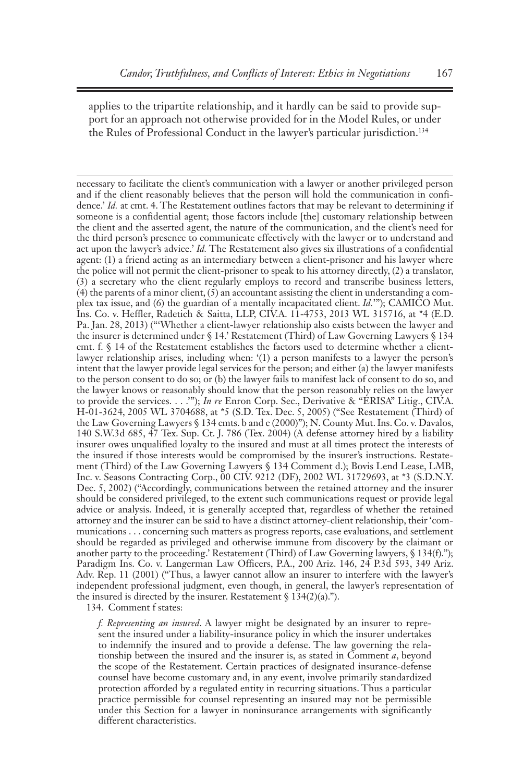applies to the tripartite relationship, and it hardly can be said to provide support for an approach not otherwise provided for in the Model Rules, or under the Rules of Professional Conduct in the lawyer's particular jurisdiction.134

necessary to facilitate the client's communication with a lawyer or another privileged person and if the client reasonably believes that the person will hold the communication in confidence.' *Id.* at cmt. 4. The Restatement outlines factors that may be relevant to determining if someone is a confidential agent; those factors include [the] customary relationship between the client and the asserted agent, the nature of the communication, and the client's need for the third person's presence to communicate effectively with the lawyer or to understand and act upon the lawyer's advice.' *Id.* The Restatement also gives six illustrations of a confidential agent: (1) a friend acting as an intermediary between a client-prisoner and his lawyer where the police will not permit the client-prisoner to speak to his attorney directly, (2) a translator, (3) a secretary who the client regularly employs to record and transcribe business letters,  $(4)$  the parents of a minor client,  $(5)$  an accountant assisting the client in understanding a complex tax issue, and (6) the guardian of a mentally incapacitated client. *Id.*'"); CAMICO Mut. Ins. Co. v. Heffler, Radetich & Saitta, LLP, CIV.A. 11-4753, 2013 WL 315716, at \*4 (E.D. Pa. Jan. 28, 2013) ("'Whether a client-lawyer relationship also exists between the lawyer and the insurer is determined under § 14.' Restatement (Third) of Law Governing Lawyers § 134 cmt. f. § 14 of the Restatement establishes the factors used to determine whether a clientlawyer relationship arises, including when: '(1) a person manifests to a lawyer the person's intent that the lawyer provide legal services for the person; and either (a) the lawyer manifests to the person consent to do so; or (b) the lawyer fails to manifest lack of consent to do so, and the lawyer knows or reasonably should know that the person reasonably relies on the lawyer to provide the services. . . .'"); *In re* Enron Corp. Sec., Derivative & "ERISA" Litig., CIV.A. H-01-3624, 2005 WL 3704688, at \*5 (S.D. Tex. Dec. 5, 2005) ("See Restatement (Third) of the Law Governing Lawyers § 134 cmts. b and c (2000)"); N. County Mut. Ins. Co. v. Davalos, 140 S.W.3d 685, 47 Tex. Sup. Ct. J. 786 (Tex. 2004) (A defense attorney hired by a liability insurer owes unqualified loyalty to the insured and must at all times protect the interests of the insured if those interests would be compromised by the insurer's instructions. Restatement (Third) of the Law Governing Lawyers § 134 Comment d.); Bovis Lend Lease, LMB, Inc. v. Seasons Contracting Corp., 00 CIV. 9212 (DF), 2002 WL 31729693, at \*3 (S.D.N.Y. Dec. 5, 2002) ("Accordingly, communications between the retained attorney and the insurer should be considered privileged, to the extent such communications request or provide legal advice or analysis. Indeed, it is generally accepted that, regardless of whether the retained attorney and the insurer can be said to have a distinct attorney-client relationship, their 'communications . . . concerning such matters as progress reports, case evaluations, and settlement should be regarded as privileged and otherwise immune from discovery by the claimant or another party to the proceeding.' Restatement (Third) of Law Governing lawyers, § 134(f)."); Paradigm Ins. Co. v. Langerman Law Officers, P.A., 200 Ariz. 146, 24 P.3d 593, 349 Ariz. Adv. Rep. 11 (2001) ("Thus, a lawyer cannot allow an insurer to interfere with the lawyer's independent professional judgment, even though, in general, the lawyer's representation of the insured is directed by the insurer. Restatement  $\S 134(2)(a)$ .").

134. Comment f states:

*f. Representing an insured*. A lawyer might be designated by an insurer to represent the insured under a liability-insurance policy in which the insurer undertakes to indemnify the insured and to provide a defense. The law governing the relationship between the insured and the insurer is, as stated in Comment *a*, beyond the scope of the Restatement. Certain practices of designated insurance-defense counsel have become customary and, in any event, involve primarily standardized protection afforded by a regulated entity in recurring situations. Thus a particular practice permissible for counsel representing an insured may not be permissible under this Section for a lawyer in noninsurance arrangements with significantly different characteristics.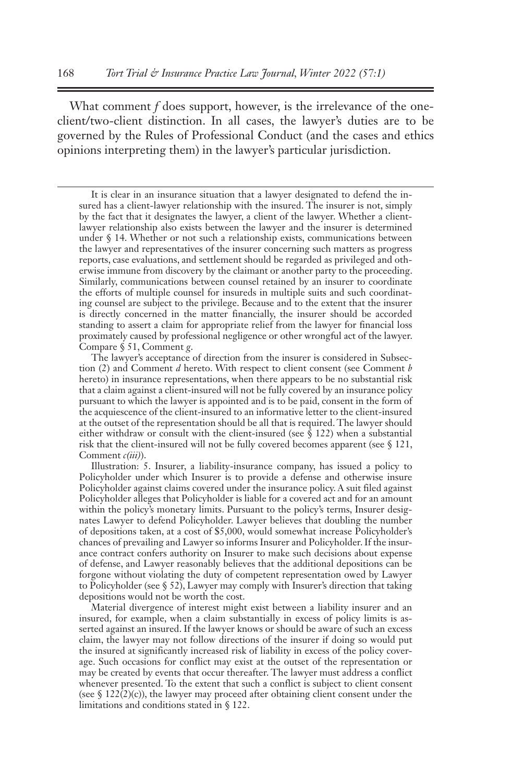What comment *f* does support, however, is the irrelevance of the oneclient/two-client distinction. In all cases, the lawyer's duties are to be governed by the Rules of Professional Conduct (and the cases and ethics opinions interpreting them) in the lawyer's particular jurisdiction.

It is clear in an insurance situation that a lawyer designated to defend the insured has a client-lawyer relationship with the insured. The insurer is not, simply by the fact that it designates the lawyer, a client of the lawyer. Whether a clientlawyer relationship also exists between the lawyer and the insurer is determined under § 14. Whether or not such a relationship exists, communications between the lawyer and representatives of the insurer concerning such matters as progress reports, case evaluations, and settlement should be regarded as privileged and otherwise immune from discovery by the claimant or another party to the proceeding. Similarly, communications between counsel retained by an insurer to coordinate the efforts of multiple counsel for insureds in multiple suits and such coordinating counsel are subject to the privilege. Because and to the extent that the insurer is directly concerned in the matter financially, the insurer should be accorded standing to assert a claim for appropriate relief from the lawyer for financial loss proximately caused by professional negligence or other wrongful act of the lawyer. Compare § 51, Comment *g*.

The lawyer's acceptance of direction from the insurer is considered in Subsection (2) and Comment *d* hereto. With respect to client consent (see Comment *b* hereto) in insurance representations, when there appears to be no substantial risk that a claim against a client-insured will not be fully covered by an insurance policy pursuant to which the lawyer is appointed and is to be paid, consent in the form of the acquiescence of the client-insured to an informative letter to the client-insured at the outset of the representation should be all that is required. The lawyer should either withdraw or consult with the client-insured (see § 122) when a substantial risk that the client-insured will not be fully covered becomes apparent (see § 121, Comment *c(iii)*).

Illustration: 5. Insurer, a liability-insurance company, has issued a policy to Policyholder under which Insurer is to provide a defense and otherwise insure Policyholder against claims covered under the insurance policy. A suit filed against Policyholder alleges that Policyholder is liable for a covered act and for an amount within the policy's monetary limits. Pursuant to the policy's terms, Insurer designates Lawyer to defend Policyholder. Lawyer believes that doubling the number of depositions taken, at a cost of \$5,000, would somewhat increase Policyholder's chances of prevailing and Lawyer so informs Insurer and Policyholder. If the insurance contract confers authority on Insurer to make such decisions about expense of defense, and Lawyer reasonably believes that the additional depositions can be forgone without violating the duty of competent representation owed by Lawyer to Policyholder (see § 52), Lawyer may comply with Insurer's direction that taking depositions would not be worth the cost.

Material divergence of interest might exist between a liability insurer and an insured, for example, when a claim substantially in excess of policy limits is asserted against an insured. If the lawyer knows or should be aware of such an excess claim, the lawyer may not follow directions of the insurer if doing so would put the insured at significantly increased risk of liability in excess of the policy coverage. Such occasions for conflict may exist at the outset of the representation or may be created by events that occur thereafter. The lawyer must address a conflict whenever presented. To the extent that such a conflict is subject to client consent (see § 122(2)(c)), the lawyer may proceed after obtaining client consent under the limitations and conditions stated in § 122.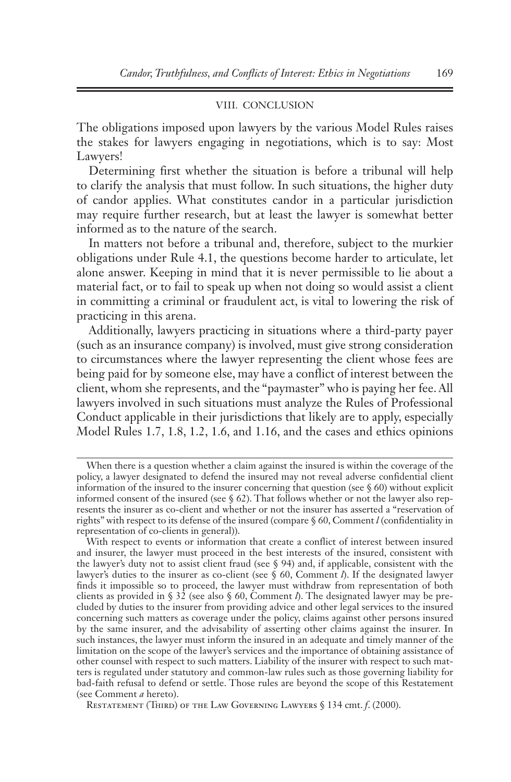#### VIII. CONCLUSION

The obligations imposed upon lawyers by the various Model Rules raises the stakes for lawyers engaging in negotiations, which is to say: Most Lawyers!

Determining first whether the situation is before a tribunal will help to clarify the analysis that must follow. In such situations, the higher duty of candor applies. What constitutes candor in a particular jurisdiction may require further research, but at least the lawyer is somewhat better informed as to the nature of the search.

In matters not before a tribunal and, therefore, subject to the murkier obligations under Rule 4.1, the questions become harder to articulate, let alone answer. Keeping in mind that it is never permissible to lie about a material fact, or to fail to speak up when not doing so would assist a client in committing a criminal or fraudulent act, is vital to lowering the risk of practicing in this arena.

Additionally, lawyers practicing in situations where a third-party payer (such as an insurance company) is involved, must give strong consideration to circumstances where the lawyer representing the client whose fees are being paid for by someone else, may have a conflict of interest between the client, whom she represents, and the "paymaster" who is paying her fee. All lawyers involved in such situations must analyze the Rules of Professional Conduct applicable in their jurisdictions that likely are to apply, especially Model Rules 1.7, 1.8, 1.2, 1.6, and 1.16, and the cases and ethics opinions

RESTATEMENT (THIRD) OF THE LAW GOVERNING LAWYERS § 134 cmt. *f*. (2000).

When there is a question whether a claim against the insured is within the coverage of the policy, a lawyer designated to defend the insured may not reveal adverse confidential client information of the insured to the insurer concerning that question (see  $\& 60$ ) without explicit informed consent of the insured (see § 62). That follows whether or not the lawyer also represents the insurer as co-client and whether or not the insurer has asserted a "reservation of rights" with respect to its defense of the insured (compare § 60, Comment *l* (confidentiality in representation of co-clients in general)).

With respect to events or information that create a conflict of interest between insured and insurer, the lawyer must proceed in the best interests of the insured, consistent with the lawyer's duty not to assist client fraud (see § 94) and, if applicable, consistent with the lawyer's duties to the insurer as co-client (see § 60, Comment *l*). If the designated lawyer finds it impossible so to proceed, the lawyer must withdraw from representation of both clients as provided in § 32 (see also § 60, Comment *l*). The designated lawyer may be precluded by duties to the insurer from providing advice and other legal services to the insured concerning such matters as coverage under the policy, claims against other persons insured by the same insurer, and the advisability of asserting other claims against the insurer. In such instances, the lawyer must inform the insured in an adequate and timely manner of the limitation on the scope of the lawyer's services and the importance of obtaining assistance of other counsel with respect to such matters. Liability of the insurer with respect to such matters is regulated under statutory and common-law rules such as those governing liability for bad-faith refusal to defend or settle. Those rules are beyond the scope of this Restatement (see Comment *a* hereto).